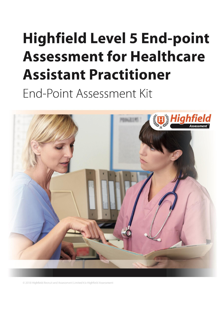# <span id="page-0-0"></span>**Highfield Level 5 End-point Assessment for Healthcare Assistant Practitioner** End-Point Assessment Kit



© 2018 Highfield Recruit and Assessment Limited t/a Highfield Assessment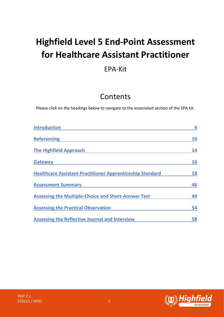# **Highfield Level 5 End-Point Assessment for Healthcare Assistant Practitioner**

## EPA-Kit

# Contents

Please click on the headings below to navigate to the associated section of the EPA kit.

| <b>Introduction</b>                                              |           |
|------------------------------------------------------------------|-----------|
| <b>Referencing</b>                                               | <b>10</b> |
| <b>The Highfield Approach</b>                                    | 14        |
| <b>Gateway</b>                                                   | 16        |
| <b>Healthcare Assistant Practitioner Apprenticeship Standard</b> | 18        |
| <b>Assessment Summary</b>                                        | 46        |
| <b>Assessing the Multiple-Choice and Short-Answer Test</b>       | 49        |
| <b>Assessing the Practical Observation</b>                       | 54        |
| <b>Assessing the Reflective Journal and Interview</b>            | 58        |

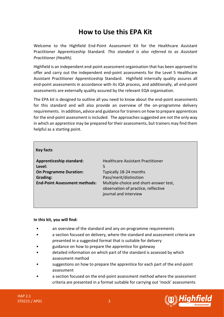# **How to Use this EPA Kit**

Welcome to the Highfield End-Point Assessment Kit for the Healthcare Assistant Practitioner Apprenticeship Standard. *This standard is also referred to as Assistant Practitioner (Health).*

Highfield is an independent end-point assessment organisation that has been approved to offer and carry out the independent end-point assessments for the Level 5 Healthcare Assistant Practitioner Apprenticeship Standard. Highfield internally quality assures all end-point assessments in accordance with its IQA process, and additionally, all end-point assessments are externally quality assured by the relevant EQA organisation.

The EPA kit is designed to outline all you need to know about the end-point assessments for this standard and will also provide an overview of the on-programme delivery requirements. In addition**,** advice and guidance for trainers on how to prepare apprentices for the end-point assessment is included. The approaches suggested are not the only way in which an apprentice may be prepared for their assessments, but trainers may find them helpful as a starting point.

## **Key facts**

Level: **On Programme Duration:** Typically 18-24 months **Grading:** Pass/merit/distinction

**Apprenticeship standard:** Healthcare Assistant Practitioner **End-Point Assessment methods:** Multiple-choice and short-answer test, observation of practice, reflective journal and interview

#### **In this kit, you will find:**

- an overview of the standard and any on-programme requirements
- a section focused on delivery, where the standard and assessment criteria are presented in a suggested format that is suitable for delivery
- guidance on how to prepare the apprentice for gateway
- detailed information on which part of the standard is assessed by which assessment method
- suggestions on how to prepare the apprentice for each part of the end-point assessment
- a section focused on the end-point assessment method where the assessment criteria are presented in a format suitable for carrying out 'mock' assessments

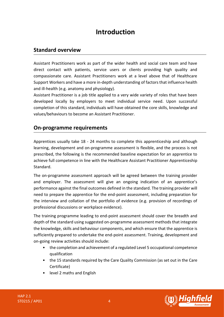# **Introduction**

## <span id="page-3-0"></span>**Standard overview**

Assistant Practitioners work as part of the wider health and social care team and have direct contact with patients, service users or clients providing high quality and compassionate care. Assistant Practitioners work at a level above that of Healthcare Support Workers and have a more in-depth understanding of factors that influence health and ill-health (e.g. anatomy and physiology).

Assistant Practitioner is a job title applied to a very wide variety of roles that have been developed locally by employers to meet individual service need. Upon successful completion of this standard, individuals will have obtained the core skills, knowledge and values/behaviours to become an Assistant Practitioner.

## **On-programme requirements**

Apprentices usually take 18 - 24 months to complete this apprenticeship and although learning, development and on-programme assessment is flexible, and the process is not prescribed, the following is the recommended baseline expectation for an apprentice to achieve full competence in line with the Healthcare Assistant Practitioner Apprenticeship Standard.

The on-programme assessment approach will be agreed between the training provider and employer. The assessment will give an ongoing indication of an apprentice's performance against the final outcomes defined in the standard. The training provider will need to prepare the apprentice for the end-point assessment, including preparation for the interview and collation of the portfolio of evidence (e.g. provision of recordings of professional discussions or workplace evidence).

The training programme leading to end-point assessment should cover the breadth and depth of the standard using suggested on-programme assessment methods that integrate the knowledge, skills and behaviour components, and which ensure that the apprentice is sufficiently prepared to undertake the end-point assessment. Training, development and on-going review activities should include:

- the completion and achievement of a regulated Level 5 occupational competence qualification
- the 15 standards required by the Care Quality Commission (as set out in the Care Certificate)
- level 2 maths and English



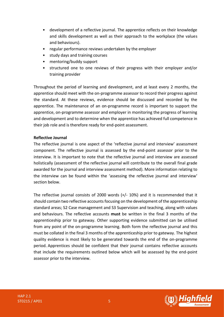- development of a reflective journal. The apprentice reflects on their knowledge and skills development as well as their approach to the workplace (the values and behaviours).
- regular performance reviews undertaken by the employer
- study days and training courses
- mentoring/buddy support
- structured one to one reviews of their progress with their employer and/or training provider

Throughout the period of learning and development, and at least every 2 months, the apprentice should meet with the on-programme assessor to record their progress against the standard. At these reviews, evidence should be discussed and recorded by the apprentice. The maintenance of an on-programme record is important to support the apprentice, on-programme assessor and employer in monitoring the progress of learning and development and to determine when the apprentice has achieved full competence in their job role and is therefore ready for end-point assessment.

## **Reflective Journal**

The reflective journal is one aspect of the 'reflective journal and interview' assessment component. The reflective journal is assessed by the end-point assessor prior to the interview. It is important to note that the reflective journal and interview are assessed holistically (assessment of the reflective journal will contribute to the overall final grade awarded for the journal and interview assessment method). More information relating to the interview can be found within the 'assessing the reflective journal and interview' section below.

The reflective journal consists of 2000 words  $(+/- 10%)$  and it is recommended that it should contain two reflective accounts focusing on the development of the apprenticeship standard areas; S2 Case management and S3 Supervision and teaching, along with values and behaviours. The reflective accounts **must** be written in the final 3 months of the apprenticeship prior to gateway. Other supporting evidence submitted can be utilised from any point of the on-programme learning. Both form the reflective journal and this must be collated in the final 3 months of the apprenticeship prior to gateway. The highest quality evidence is most likely to be generated towards the end of the on-programme period. Apprentices should be confident that their journal contains reflective accounts that include the requirements outlined below which will be assessed by the end-point assessor prior to the interview.



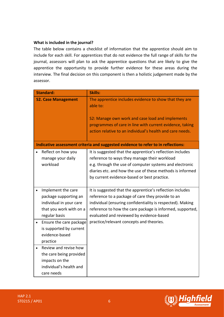## **What is included in the journal?**

The table below contains a checklist of information that the apprentice should aim to include for each skill. For apprentices that do not evidence the full range of skills for the journal, assessors will plan to ask the apprentice questions that are likely to give the apprentice the opportunity to provide further evidence for these areas during the interview. The final decision on this component is then a holistic judgement made by the assessor.

| <b>Standard:</b>           | Skills:                                                                           |
|----------------------------|-----------------------------------------------------------------------------------|
| <b>S2. Case Management</b> | The apprentice includes evidence to show that they are                            |
|                            | able to:                                                                          |
|                            |                                                                                   |
|                            | S2: Manage own work and case load and implements                                  |
|                            | programmes of care in line with current evidence, taking                          |
|                            | action relative to an individual's health and care needs.                         |
|                            |                                                                                   |
|                            | Indicative assessment criteria and suggested evidence to refer to in reflections: |
| Reflect on how you         | It is suggested that the apprentice's reflection includes                         |
| manage your daily          | reference to ways they manage their workload                                      |
| workload                   | e.g. through the use of computer systems and electronic                           |
|                            | diaries etc. and how the use of these methods is informed                         |
|                            | by current evidence-based or best practice.                                       |
|                            |                                                                                   |
| Implement the care         | It is suggested that the apprentice's reflection includes                         |
| package supporting an      | reference to a package of care they provide to an                                 |
| individual in your care    | individual (ensuring confidentiality is respected). Making                        |
| that you work with on a    | reference to how the care package is informed, supported,                         |
| regular basis              | evaluated and reviewed by evidence-based                                          |
| Ensure the care package    | practice/relevant concepts and theories.                                          |
| is supported by current    |                                                                                   |
| evidence-based             |                                                                                   |
| practice                   |                                                                                   |
| Review and revise how      |                                                                                   |
| the care being provided    |                                                                                   |
| impacts on the             |                                                                                   |
| individual's health and    |                                                                                   |
| care needs                 |                                                                                   |



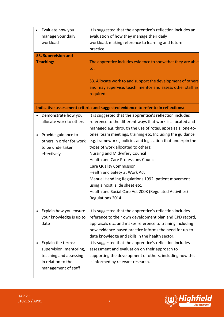|           | Evaluate how you<br>manage your daily<br>workload                                                                    | It is suggested that the apprentice's reflection includes an<br>evaluation of how they manage their daily<br>workload, making reference to learning and future<br>practice.                                                                                                                                                                                                                                                                                                                     |
|-----------|----------------------------------------------------------------------------------------------------------------------|-------------------------------------------------------------------------------------------------------------------------------------------------------------------------------------------------------------------------------------------------------------------------------------------------------------------------------------------------------------------------------------------------------------------------------------------------------------------------------------------------|
|           | <b>S3. Supervision and</b>                                                                                           |                                                                                                                                                                                                                                                                                                                                                                                                                                                                                                 |
|           | <b>Teaching:</b>                                                                                                     | The apprentice includes evidence to show that they are able<br>to:<br>S3. Allocate work to and support the development of others<br>and may supervise, teach, mentor and assess other staff as<br>required                                                                                                                                                                                                                                                                                      |
|           |                                                                                                                      | Indicative assessment criteria and suggested evidence to refer to in reflections:                                                                                                                                                                                                                                                                                                                                                                                                               |
| $\bullet$ | Demonstrate how you<br>allocate work to others                                                                       | It is suggested that the apprentice's reflection includes<br>reference to the different ways that work is allocated and<br>managed e.g. through the use of rotas, appraisals, one-to-                                                                                                                                                                                                                                                                                                           |
| $\bullet$ | Provide guidance to<br>others in order for work<br>to be undertaken<br>effectively                                   | ones, team meetings, training etc. Including the guidance<br>e.g. frameworks, policies and legislation that underpin the<br>types of work allocated to others:<br><b>Nursing and Midwifery Council</b><br><b>Health and Care Professions Council</b><br><b>Care Quality Commission</b><br>Health and Safety at Work Act<br>Manual Handling Regulations 1992: patient movement<br>using a hoist, slide sheet etc.<br>Health and Social Care Act 2008 (Regulated Activities)<br>Regulations 2014. |
|           | Explain how you ensure<br>your knowledge is up to<br>date                                                            | It is suggested that the apprentice's reflection includes<br>reference to their own development plan and CPD record,<br>appraisals etc. and makes reference to training including<br>how evidence-based practice informs the need for up-to-<br>date knowledge and skills in the health sector.                                                                                                                                                                                                 |
|           | Explain the terms:<br>supervision, mentoring,<br>teaching and assessing<br>in relation to the<br>management of staff | It is suggested that the apprentice's reflection includes<br>assessment and evaluation on their approach to<br>supporting the development of others, including how this<br>is informed by relevant research.                                                                                                                                                                                                                                                                                    |



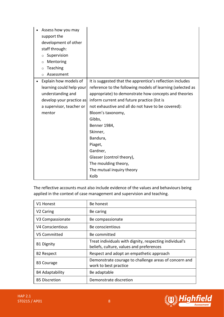| Assess how you may       |                                                            |
|--------------------------|------------------------------------------------------------|
| support the              |                                                            |
| development of other     |                                                            |
| staff through:           |                                                            |
| Supervision<br>$\circ$   |                                                            |
| Mentoring<br>$\circ$     |                                                            |
| Teaching<br>$\circ$      |                                                            |
| Assessment<br>$\circ$    |                                                            |
| Explain how models of    | It is suggested that the apprentice's reflection includes  |
| learning could help your | reference to the following models of learning (selected as |
| understanding and        | appropriate) to demonstrate how concepts and theories      |
| develop your practice as | inform current and future practice (list is                |
| a supervisor, teacher or | not exhaustive and all do not have to be covered):         |
| mentor                   | Bloom's taxonomy,                                          |
|                          | Gibbs,                                                     |
|                          | Benner 1984,                                               |
|                          | Skinner,                                                   |
|                          | Bandura,                                                   |
|                          | Piaget,                                                    |
|                          | Gardner,                                                   |
|                          | Glasser (control theory),                                  |
|                          | The moulding theory,                                       |
|                          | The mutual inquiry theory                                  |
|                          | Kolb                                                       |

The reflective accounts must also include evidence of the values and behaviours being applied in the context of case management and supervision and teaching.

| V1 Honest              | Be honest                                                                                           |
|------------------------|-----------------------------------------------------------------------------------------------------|
| V <sub>2</sub> Caring  | Be caring                                                                                           |
| V3 Compassionate       | Be compassionate                                                                                    |
| V4 Conscientious       | Be conscientious                                                                                    |
| V5 Committed           | Be committed                                                                                        |
| <b>B1 Dignity</b>      | Treat individuals with dignity, respecting individual's<br>beliefs, culture, values and preferences |
| <b>B2 Respect</b>      | Respect and adopt an empathetic approach                                                            |
| <b>B3 Courage</b>      | Demonstrate courage to challenge areas of concern and<br>work to best practice                      |
| <b>B4 Adaptability</b> | Be adaptable                                                                                        |
| <b>B5 Discretion</b>   | Demonstrate discretion                                                                              |

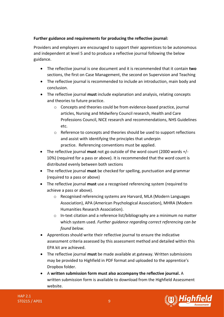## **Further guidance and requirements for producing the reflective journal:**

Providers and employers are encouraged to support their apprentices to be autonomous and independent at level 5 and to produce a reflective journal following the below guidance.

- The reflective journal is one document and it is recommended that it contain **two** sections, the first on Case Management, the second on Supervision and Teaching
- The reflective journal is recommended to include an introduction, main body and conclusion.
- The reflective journal **must** include explanation and analysis, relating concepts and theories to future practice.
	- o Concepts and theories could be from evidence-based practice, journal articles, Nursing and Midwifery Council research, Health and Care Professions Council, NICE research and recommendations, NHS Guidelines etc.
	- o Reference to concepts and theories should be used to support reflections and assist with identifying the principles that underpin practice. Referencing conventions must be applied.
- The reflective journal **must** not go outside of the word count (2000 words +/- 10%) (required for a pass or above). It is recommended that the word count is distributed evenly between both sections
- The reflective journal **must** be checked for spelling, punctuation and grammar (required to a pass or above)
- The reflective journal **must** use a recognised referencing system (required to achieve a pass or above).
	- o Recognised referencing systems are Harvard, MLA (Modern Languages Association), APA (American Psychological Association), MHRA (Modern Humanities Research Association).
	- $\circ$  In-text citation and a reference list/bibliography are a minimum no matter which system used. *Further guidance regarding correct referencing can be found below.*
- Apprentices should write their reflective journal to ensure the indicative assessment criteria assessed by this assessment method and detailed within this EPA kit are achieved.
- The reflective journal **must** be made available at gateway. Written submissions may be provided to Highfield in PDF format and uploaded to the apprentice's Dropbox folder.
- A **written submission form must also accompany the reflective journal.** A written submission form is available to download from the Highfield Assessment website.

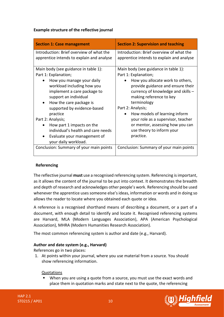## **Example structure of the reflective journal**

| <b>Section 1: Case management</b>                                                                                                                                                                                                                                                                                                                                                                                 | <b>Section 2: Supervision and teaching</b>                                                                                                                                                                                                                                                                                                                                                        |
|-------------------------------------------------------------------------------------------------------------------------------------------------------------------------------------------------------------------------------------------------------------------------------------------------------------------------------------------------------------------------------------------------------------------|---------------------------------------------------------------------------------------------------------------------------------------------------------------------------------------------------------------------------------------------------------------------------------------------------------------------------------------------------------------------------------------------------|
| Introduction: Brief overview of what the<br>apprentice intends to explain and analyse                                                                                                                                                                                                                                                                                                                             | Introduction: Brief overview of what the<br>apprentice intends to explain and analyse                                                                                                                                                                                                                                                                                                             |
| Main body (see guidance in table 1):<br>Part 1: Explanation;<br>How you manage your daily<br>workload including how you<br>implement a care package to<br>support an individual<br>How the care package is<br>supported by evidence-based<br>practice<br>Part 2: Analysis;<br>How part 1 impacts on the<br>individual's health and care needs<br>Evaluate your management of<br>$\bullet$<br>your daily workload. | Main body (see guidance in table 1):<br>Part 1: Explanation;<br>How you allocate work to others,<br>provide guidance and ensure their<br>currency of knowledge and skills $-$<br>making reference to key<br>terminology<br>Part 2: Analysis;<br>How models of learning inform<br>your role as a supervisor, teacher<br>or mentor, assessing how you can<br>use theory to inform your<br>practice. |
| Conclusion: Summary of your main points                                                                                                                                                                                                                                                                                                                                                                           | Conclusion: Summary of your main points                                                                                                                                                                                                                                                                                                                                                           |

## <span id="page-9-0"></span>  **Referencing**

The reflective journal **must** use a recognised referencing system. Referencing is important, as it allows the content of the journal to be put into context. It demonstrates the breadth and depth of research and acknowledges other people's work. Referencing should be used whenever the apprentice uses someone else's ideas, information or words and in doing so allows the reader to locate where you obtained each quote or idea.

A reference is a recognised shorthand means of describing a document, or a part of a document, with enough detail to identify and locate it. Recognised referencing systems are Harvard, MLA (Modern Languages Association), APA (American Psychological Association), MHRA (Modern Humanities Research Association).

The most common referencing system is author and date (e.g., Harvard).

## **Author and date system (e.g., Harvard)**

References go in two places:

1. At points within your journal, where you use material from a source. You should show referencing information.

## **Quotations**

When you are using a quote from a source, you must use the exact words and place them in quotation marks and state next to the quote, the referencing

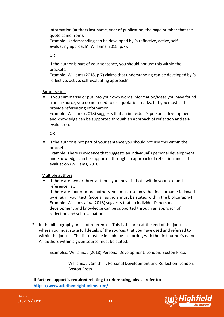information (authors last name, year of publication, the page number that the quote came from).

Example: Understanding can be developed by 'a reflective, active, selfevaluating approach' (Williams, 2018, p.7).

OR

If the author is part of your sentence, you should not use this within the brackets.

Example: Williams (2018, p.7) claims that understanding can be developed by 'a reflective, active, self-evaluating approach'.

## Paraphrasing

If you summarise or put into your own words information/ideas you have found from a source, you do not need to use quotation marks, but you must still provide referencing information.

Example: Williams (2018) suggests that an individual's personal development and knowledge can be supported through an approach of reflection and selfevaluation.

OR

**■** If the author is not part of your sentence you should not use this within the brackets.

Example: There is evidence that suggests an individual's personal development and knowledge can be supported through an approach of reflection and selfevaluation (Williams, 2018).

## Multiple authors

If there are two or three authors, you must list both within your text and reference list.

If there are four or more authors, you must use only the first surname followed by *et al*. in your text. (note all authors must be stated within the bibliography) Example: Williams *et al* (2018) suggests that an individual's personal development and knowledge can be supported through an approach of reflection and self-evaluation.

2. In the bibliography or list of references. This is the area at the end of the journal, where you must state full details of the sources that you have used and referred to within the journal. The list must be in alphabetical order, with the first author's name. All authors within a given source must be stated.

Examples: Williams, J (2018) Personal Development. London: Boston Press

Williams, J., Smith, T. Personal Development and Reflection. London: Boston Press

**If further support is required relating to referencing, please refer to: <https://www.citethemrightonline.com/>**

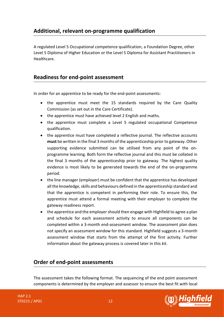## **Additional, relevant on-programme qualification**

A regulated Level 5 Occupational competence qualification, a Foundation Degree, other Level 5 Diploma of Higher Education or the Level 5 Diploma for Assistant Practitioners in Healthcare.

## **Readiness for end-point assessment**

In order for an apprentice to be ready for the end-point assessments:

- the apprentice must meet the 15 standards required by the Care Quality Commission (as set out in the Care Certificate).
- the apprentice must have achieved level 2 English and maths.
- the apprentice must complete a Level 5 regulated occupational Competence qualification.
- the apprentice must have completed a reflective journal. The reflective accounts **must** be written in the final 3 months of the apprenticeship prior to gateway. Other supporting evidence submitted can be utilised from any point of the onprogramme learning. Both form the reflective journal and this must be collated in the final 3 months of the apprenticeship prior to gateway. The highest quality evidence is most likely to be generated towards the end of the on-programme period.
- the line manager (employer) must be confident that the apprentice has developed all the knowledge, skills and behaviours defined in the apprenticeship standard and that the apprentice is competent in performing their role. To ensure this, the apprentice must attend a formal meeting with their employer to complete the gateway readiness report.
- the apprentice and the employer should then engage with Highfield to agree a plan and schedule for each assessment activity to ensure all components can be completed within a 3-month end-assessment window. The assessment plan does not specify an assessment window for this standard. Highfield suggests a 3-month assessment window that starts from the attempt of the first activity. Further information about the gateway process is covered later in this kit.

## **Order of end-point assessments**

The assessment takes the following format. The sequencing of the end point assessment components is determined by the employer and assessor to ensure the best fit with local



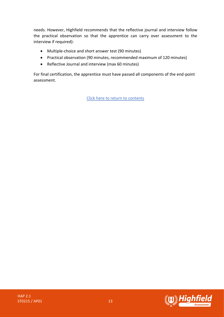needs. However, Highfield recommends that the reflective journal and interview follow the practical observation so that the apprentice can carry over assessment to the interview if required):

- Multiple-choice and short answer test (90 minutes)
- Practical observation (90 minutes, recommended maximum of 120 minutes)
- Reflective Journal and interview (max 60 minutes)

For final certification, the apprentice must have passed all components of the end-point assessment.

[Click here to return to contents](#page-0-0)

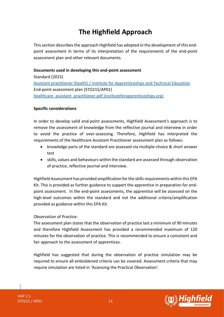# **The Highfield Approach**

<span id="page-13-0"></span>This section describes the approach Highfield has adopted in the development of this endpoint assessment in terms of its interpretation of the requirements of the end-point assessment plan and other relevant documents.

## **Documents used in developing this end-point assessment**

Standard (2015) [Assistant practitioner \(health\) / Institute for Apprenticeships](https://www.instituteforapprenticeships.org/apprenticeship-standards/assistant-practitioner-(health)-v1-0) and Technical Education End-point assessment plan (STO215/AP01) healthcare assistant practitioner.pdf (instituteforapprenticeships.org)

## **Specific considerations**

In order to develop valid end-point assessments, Highfield Assessment's approach is to remove the assessment of knowledge from the reflective journal and interview in order to avoid the practice of over-assessing. Therefore, Highfield has interpreted the requirements of the Healthcare Assistant Practitioner assessment plan as follows:

- knowledge parts of the standard are assessed via multiple-choice & short answer test
- skills, values and behaviours within the standard are assessed through observation of practice, reflective journal and interview.

Highfield Assessment has provided amplification for the skills requirements within this EPA Kit. This is provided as further guidance to support the apprentice in preparation for endpoint assessment. In the end-point assessments, the apprentice will be assessed on the high-level outcomes within the standard and not the additional criteria/amplification provided as guidance within this EPA Kit.

## Observation of Practice:

The assessment plan states that the observation of practice last a minimum of 90 minutes and therefore Highfield Assessment has provided a recommended maximum of 120 minutes for the observation of practice. This is recommended to ensure a consistent and fair approach to the assessment of apprentices.

Highfield has suggested that during the observation of practice simulation may be required to ensure all emboldened criteria can be covered. Assessment criteria that may require simulation are listed in 'Assessing the Practical Observation'.

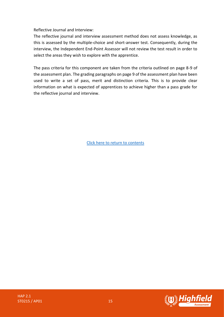Reflective Journal and Interview:

The reflective journal and interview assessment method does not assess knowledge, as this is assessed by the multiple-choice and short-answer test. Consequently, during the interview, the Independent End-Point Assessor will not review the test result in order to select the areas they wish to explore with the apprentice.

The pass criteria for this component are taken from the criteria outlined on page 8-9 of the assessment plan. The grading paragraphs on page 9 of the assessment plan have been used to write a set of pass, merit and distinction criteria. This is to provide clear information on what is expected of apprentices to achieve higher than a pass grade for the reflective journal and interview.

[Click here to return to contents](#page-0-0)

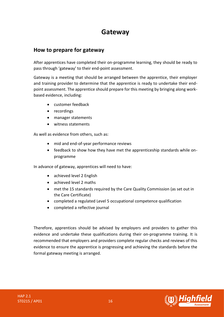# **Gateway**

## <span id="page-15-0"></span>**How to prepare for gateway**

After apprentices have completed their on-programme learning, they should be ready to pass through 'gateway' to their end-point assessment.

Gateway is a meeting that should be arranged between the apprentice, their employer and training provider to determine that the apprentice is ready to undertake their endpoint assessment. The apprentice should prepare for this meeting by bringing along workbased evidence, including:

- customer feedback
- recordings
- manager statements
- witness statements

As well as evidence from others, such as:

- mid and end-of-year performance reviews
- feedback to show how they have met the apprenticeship standards while onprogramme

In advance of gateway, apprentices will need to have:

- achieved level 2 English
- achieved level 2 maths
- met the 15 standards required by the Care Quality Commission (as set out in the Care Certificate)
- completed a regulated Level 5 occupational competence qualification
- completed a reflective journal

Therefore, apprentices should be advised by employers and providers to gather this evidence and undertake these qualifications during their on-programme training. It is recommended that employers and providers complete regular checks and reviews of this evidence to ensure the apprentice is progressing and achieving the standards before the formal gateway meeting is arranged.

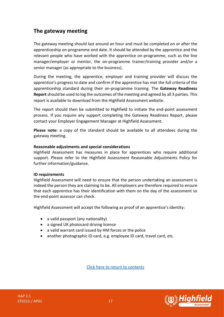## **The gateway meeting**

The gateway meeting should last around an hour and must be completed on or after the apprenticeship on-programme end date. It should be attended by the apprentice and the relevant people who have worked with the apprentice on-programme, such as the line manager/employer or mentor, the on-programme trainer/training provider and/or a senior manager (as appropriate to the business).

During the meeting, the apprentice, employer and training provider will discuss the apprentice's progress to date and confirm if the apprentice has met the full criteria of the apprenticeship standard during their on-programme training. The **Gateway Readiness Report** should be used to log the outcomes of the meeting and agreed by all 3 parties. This report is available to download from the Highfield Assessment website.

The report should then be submitted to Highfield to initiate the end-point assessment process. If you require any support completing the Gateway Readiness Report, please contact your Employer Engagement Manager at Highfield Assessment.

**Please note:** a copy of the standard should be available to all attendees during the gateway meeting.

## **Reasonable adjustments and special considerations**

Highfield Assessment has measures in place for apprentices who require additional support. Please refer to the Highfield Assessment Reasonable Adjustments Policy for further information/guidance.

## **ID requirements**

Highfield Assessment will need to ensure that the person undertaking an assessment is indeed the person they are claiming to be. All employers are therefore required to ensure that each apprentice has their identification with them on the day of the assessment so the end-point assessor can check.

Highfield Assessment will accept the following as proof of an apprentice's identity:

- a valid passport (any nationality)
- a signed UK photocard driving licence
- a valid warrant card issued by HM forces or the police
- another photographic ID card, e.g. employee ID card, travel card, etc.

[Click here to return to contents](#page-0-0)



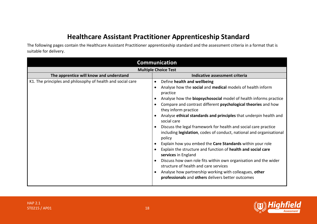# **Healthcare Assistant Practitioner Apprenticeship Standard**

The following pages contain the Healthcare Assistant Practitioner apprenticeship standard and the assessment criteria in a format that is suitable for delivery.

<span id="page-17-0"></span>

| <b>Communication</b>                                        |                                                                                                                                                                                                                                                                                                                                                                                                                                                                                                                                                                                                                                                                                                                                                                                                                                                                                                                |  |
|-------------------------------------------------------------|----------------------------------------------------------------------------------------------------------------------------------------------------------------------------------------------------------------------------------------------------------------------------------------------------------------------------------------------------------------------------------------------------------------------------------------------------------------------------------------------------------------------------------------------------------------------------------------------------------------------------------------------------------------------------------------------------------------------------------------------------------------------------------------------------------------------------------------------------------------------------------------------------------------|--|
| <b>Multiple Choice Test</b>                                 |                                                                                                                                                                                                                                                                                                                                                                                                                                                                                                                                                                                                                                                                                                                                                                                                                                                                                                                |  |
| The apprentice will know and understand                     | Indicative assessment criteria                                                                                                                                                                                                                                                                                                                                                                                                                                                                                                                                                                                                                                                                                                                                                                                                                                                                                 |  |
| K1. The principles and philosophy of health and social care | Define health and wellbeing<br>$\bullet$<br>Analyse how the social and medical models of health inform<br>practice<br>Analyse how the <b>biopsychosocial</b> model of health informs practice<br>Compare and contrast different psychological theories and how<br>they inform practice<br>Analyse ethical standards and principles that underpin health and<br>social care<br>Discuss the legal framework for health and social care practice<br>including legislation, codes of conduct, national and organisational<br>policy<br>Explain how you embed the Care Standards within your role<br>Explain the structure and function of health and social care<br>services in England<br>Discuss how own role fits within own organisation and the wider<br>structure of health and care services<br>Analyse how partnership working with colleagues, other<br>professionals and others delivers better outcomes |  |

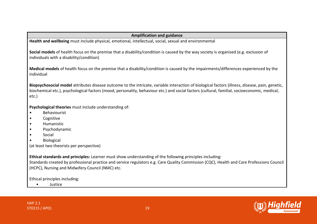## **Amplification and guidance**

**Health and wellbeing** must include physical, emotional, intellectual, social, sexual and environmental

**Social models** of health focus on the premise that a disability/condition is caused by the way society is organised (e.g. exclusion of individuals with a disability/condition)

**Medical models** of health focus on the premise that a disability/condition is caused by the impairments/differences experienced by the individual

**Biopsychosocial model** attributes disease outcome to the intricate, variable interaction of biological factors (illness, disease, pain, genetic, biochemical etc.), psychological factors (mood, personality, behaviour etc.) and social factors (cultural, familial, socioeconomic, medical, etc.)

**Psychological theories** must include understanding of:

- Behaviourist
- Cognitive
- Humanistic
- Psychodynamic
- Social
- **Biological**

(at least two theorists per perspective)

**Ethical standards and principles:** Learner must show understanding of the following principles including:

Standards created by professional practice and service regulators e.g. Care Quality Commission (CQC), Health and Care Professions Council (HCPC), Nursing and Midwifery Council (NMC) etc.

Ethical principles including:

• Justice

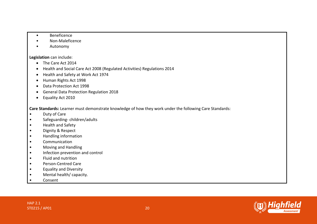- Beneficence
- Non-Maleficence
- Autonomy

## **Legislation** can include:

- The Care Act 2014
- Health and Social Care Act 2008 (Regulated Activities) Regulations 2014
- Health and Safety at Work Act 1974
- Human Rights Act 1998
- Data Protection Act 1998
- General Data Protection Regulation 2018
- Equality Act 2010

**Care Standards:** Learner must demonstrate knowledge of how they work under the following Care Standards:

- Duty of Care
- Safeguarding- children/adults
- Health and Safety
- Dignity & Respect
- Handling information
- Communication
- Moving and Handling
- Infection prevention and control
- Fluid and nutrition
- Person-Centred Care
- Equality and Diversity
- Mental health/ capacity.
- Consent

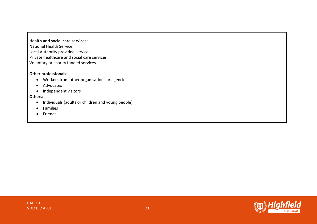## **Health and social care services:**

National Health Service Local Authority provided services Private healthcare and social care services Voluntary or charity funded services

## **Other professionals:**

- Workers from other organisations or agencies
- Advocates
- Independent visitors

#### **Others:**

- Individuals (adults or children and young people)
- Families
- Friends



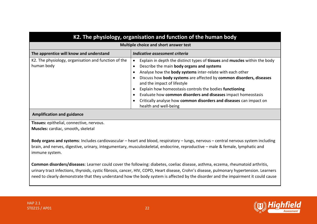| K2. The physiology, organisation and function of the human body    |                                                                                                                                                                                                                                                                                                                                                                                                                                                                                                                       |
|--------------------------------------------------------------------|-----------------------------------------------------------------------------------------------------------------------------------------------------------------------------------------------------------------------------------------------------------------------------------------------------------------------------------------------------------------------------------------------------------------------------------------------------------------------------------------------------------------------|
| Multiple choice and short answer test                              |                                                                                                                                                                                                                                                                                                                                                                                                                                                                                                                       |
| The apprentice will know and understand                            | Indicative assessment criteria                                                                                                                                                                                                                                                                                                                                                                                                                                                                                        |
| K2. The physiology, organisation and function of the<br>human body | Explain in depth the distinct types of tissues and muscles within the body<br>Describe the main body organs and systems<br>Analyse how the body systems inter-relate with each other<br>Discuss how body systems are affected by common disorders, diseases<br>and the impact of lifestyle<br>Explain how homeostasis controls the bodies functioning<br>Evaluate how common disorders and diseases impact homeostasis<br>Critically analyse how common disorders and diseases can impact on<br>health and well-being |

#### **Amplification and guidance**

**Tissues:** epithelial, connective, nervous.

**Muscles:** cardiac, smooth**,** skeletal

**Body organs and systems**: Includes cardiovascular – heart and blood, respiratory – lungs, nervous – central nervous system including brain, and nerves, digestive, urinary, integumentary, musculoskeletal, endocrine, reproductive – male & female, lymphatic and immune system.

**Common disorders/diseases**: Learner could cover the following: diabetes, coeliac disease, asthma, eczema, rheumatoid arthritis, urinary tract infections, thyroids, cystic fibrosis, cancer, HIV, COPD, Heart disease, Crohn's disease, pulmonary hypertension. Learners need to clearly demonstrate that they understand how the body system is affected by the disorder and the impairment it could cause

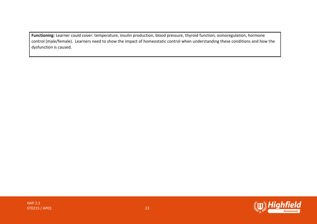**Functioning:** Learner could cover: temperature, insulin production, blood pressure, thyroid function, osmoregulation, hormone control (male/female). Learners need to show the impact of homeostatic control when understanding these conditions and how the dysfunction is caused.

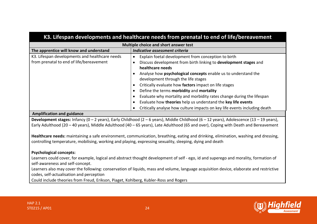| K3. Lifespan developments and healthcare needs from prenatal to end of life/bereavement    |                                                                                                                                                                                                                                                                                                                                                                                                                                                                                                         |
|--------------------------------------------------------------------------------------------|---------------------------------------------------------------------------------------------------------------------------------------------------------------------------------------------------------------------------------------------------------------------------------------------------------------------------------------------------------------------------------------------------------------------------------------------------------------------------------------------------------|
|                                                                                            | Multiple choice and short answer test                                                                                                                                                                                                                                                                                                                                                                                                                                                                   |
| The apprentice will know and understand                                                    | Indicative assessment criteria                                                                                                                                                                                                                                                                                                                                                                                                                                                                          |
| K3. Lifespan developments and healthcare needs<br>from prenatal to end of life/bereavement | Explain foetal development from conception to birth<br>c<br>Discuss development from birth linking to development stages and<br>healthcare needs<br>Analyse how psychological concepts enable us to understand the<br>development through the life stages<br>Critically evaluate how factors impact on life stages<br>Define the terms morbidity and mortality<br>Evaluate why mortality and morbidity rates change during the lifespan<br>Evaluate how theories help us understand the key life events |
| Application and cutators and                                                               | Critically analyse how culture impacts on key life events including death                                                                                                                                                                                                                                                                                                                                                                                                                               |

#### **Amplification and guidance**

**Development stages:** Infancy (0 – 2 years), Early Childhood (2 – 6 years), Middle Childhood (6 – 12 years), Adolescence (13 – 19 years), Early Adulthood (20 – 40 years), Middle Adulthood (40 – 65 years), Late Adulthood (65 and over), Coping with Death and Bereavement

**Healthcare needs:** maintaining a safe environment, communication, breathing, eating and drinking, elimination, washing and dressing, controlling temperature, mobilising, working and playing, expressing sexuality, sleeping, dying and death

## **Psychological concepts:**

Learners could cover, for example, logical and abstract thought development of self - ego, id and superego and morality, formation of self-awareness and self-concept.

Learners also may cover the following: conservation of liquids, mass and volume, language acquisition device, elaborate and restrictive codes, self-actualisation and perception

Could include theories from Freud, Erikson, Piaget, Kohlberg, Kubler-Ross and Rogers



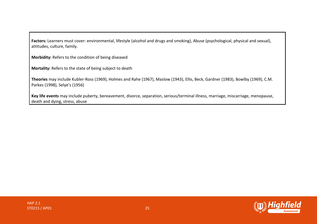**Factors:** Learners must cover: environmental, lifestyle (alcohol and drugs and smoking), Abuse (psychological, physical and sexual), attitudes, culture, family.

**Morbidity:** Refers to the condition of being diseased

**Mortality:** Refers to the state of being subject to death

**Theories** may include Kubler-Ross (1969), Holmes and Rahe (1967), Maslow (1943), Ellis, Beck, Gardner (1983), Bowlby (1969), C.M. Parkes (1998), Selye's (1956)

**Key life events** may include puberty, bereavement, divorce, separation, serious/terminal illness, marriage, miscarriage, menopause, death and dying, stress, abuse

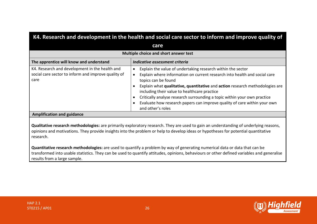| K4. Research and development in the health and social care sector to inform and improve quality of            |                                                                                                                                                                                                                                                                                                                                                                                                                                                                                                |
|---------------------------------------------------------------------------------------------------------------|------------------------------------------------------------------------------------------------------------------------------------------------------------------------------------------------------------------------------------------------------------------------------------------------------------------------------------------------------------------------------------------------------------------------------------------------------------------------------------------------|
| care                                                                                                          |                                                                                                                                                                                                                                                                                                                                                                                                                                                                                                |
| Multiple choice and short answer test                                                                         |                                                                                                                                                                                                                                                                                                                                                                                                                                                                                                |
| The apprentice will know and understand                                                                       | Indicative assessment criteria                                                                                                                                                                                                                                                                                                                                                                                                                                                                 |
| K4. Research and development in the health and<br>social care sector to inform and improve quality of<br>care | Explain the value of undertaking research within the sector<br>$\bullet$<br>Explain where information on current research into health and social care<br>٠<br>topics can be found<br>Explain what qualitative, quantitative and action research methodologies are<br>including their value to healthcare practice<br>Critically analyse research surrounding a topic within your own practice<br>Evaluate how research papers can improve quality of care within your own<br>and other's roles |
| <b>Amplification and guidance</b>                                                                             |                                                                                                                                                                                                                                                                                                                                                                                                                                                                                                |

**Qualitative research methodologies:** are primarily exploratory research. They are used to gain an understanding of underlying reasons, opinions and motivations. They provide insights into the problem or help to develop ideas or hypotheses for potential quantitative research.

**Quantitative research methodologies:** are used to quantify a problem by way of generating numerical data or data that can be transformed into usable statistics. They can be used to quantify attitudes, opinions, behaviours or other defined variables and generalise results from a large sample.

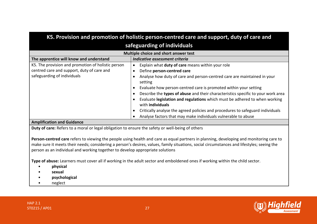| K5. Provision and promotion of holistic person-centred care and support, duty of care and                                                                                                                                                                                                                                                                              |                                                                                                |  |
|------------------------------------------------------------------------------------------------------------------------------------------------------------------------------------------------------------------------------------------------------------------------------------------------------------------------------------------------------------------------|------------------------------------------------------------------------------------------------|--|
| safeguarding of individuals                                                                                                                                                                                                                                                                                                                                            |                                                                                                |  |
|                                                                                                                                                                                                                                                                                                                                                                        | Multiple choice and short answer test                                                          |  |
| The apprentice will know and understand                                                                                                                                                                                                                                                                                                                                | Indicative assessment criteria                                                                 |  |
| K5. The provision and promotion of holistic person                                                                                                                                                                                                                                                                                                                     | Explain what duty of care means within your role<br>$\bullet$                                  |  |
| centred care and support, duty of care and                                                                                                                                                                                                                                                                                                                             | Define person-centred care<br>$\bullet$                                                        |  |
| safeguarding of individuals                                                                                                                                                                                                                                                                                                                                            | Analyse how duty of care and person-centred care are maintained in your<br>setting             |  |
|                                                                                                                                                                                                                                                                                                                                                                        | Evaluate how person-centred care is promoted within your setting                               |  |
|                                                                                                                                                                                                                                                                                                                                                                        | Describe the types of abuse and their characteristics specific to your work area               |  |
|                                                                                                                                                                                                                                                                                                                                                                        | Evaluate legislation and regulations which must be adhered to when working<br>with individuals |  |
|                                                                                                                                                                                                                                                                                                                                                                        | Critically analyse the agreed policies and procedures to safeguard individuals                 |  |
|                                                                                                                                                                                                                                                                                                                                                                        | Analyse factors that may make individuals vulnerable to abuse                                  |  |
| <b>Amplification and Guidance</b>                                                                                                                                                                                                                                                                                                                                      |                                                                                                |  |
| Duty of care: Refers to a moral or legal obligation to ensure the safety or well-being of others                                                                                                                                                                                                                                                                       |                                                                                                |  |
| Person-centred care refers to viewing the people using health and care as equal partners in planning, developing and monitoring care to<br>make sure it meets their needs; considering a person's desires, values, family situations, social circumstances and lifestyles; seeing the<br>person as an individual and working together to develop appropriate solutions |                                                                                                |  |
| Type of abuse: Learners must cover all if working in the adult sector and emboldened ones if working within the child sector.                                                                                                                                                                                                                                          |                                                                                                |  |
| physical                                                                                                                                                                                                                                                                                                                                                               |                                                                                                |  |
| sexual                                                                                                                                                                                                                                                                                                                                                                 |                                                                                                |  |
| psychological                                                                                                                                                                                                                                                                                                                                                          |                                                                                                |  |

• neglect

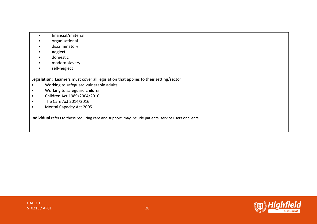- financial/material
- organisational
- discriminatory
- **neglect**
- domestic
- modern slavery
- self-neglect

**Legislation:** Learners must cover all legislation that applies to their setting/sector

- Working to safeguard vulnerable adults
- Working to safeguard children
- Children Act 1989/2004/2010
- The Care Act 2014/2016
- Mental Capacity Act 2005

**Individual** refers to those requiring care and support, may include patients, service users or clients.

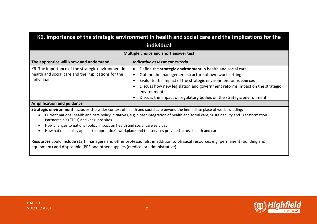| K6. Importance of the strategic environment in health and social care and the implications for the                      |                                                                                                                                                                                                                                                                                                                                                          |
|-------------------------------------------------------------------------------------------------------------------------|----------------------------------------------------------------------------------------------------------------------------------------------------------------------------------------------------------------------------------------------------------------------------------------------------------------------------------------------------------|
| individual                                                                                                              |                                                                                                                                                                                                                                                                                                                                                          |
| Multiple choice and short answer test                                                                                   |                                                                                                                                                                                                                                                                                                                                                          |
| The apprentice will know and understand                                                                                 | Indicative assessment criteria                                                                                                                                                                                                                                                                                                                           |
| K6. The importance of the strategic environment in<br>health and social care and the implications for the<br>individual | Define the strategic environment in health and social care<br>Outline the management structure of own work setting<br>Evaluate the impact of the strategic environment on resources<br>Discuss how new legislation and government reforms impact on the strategic<br>environment<br>Discuss the impact of regulatory bodies on the strategic environment |
| <b>Amplification and guidance</b>                                                                                       |                                                                                                                                                                                                                                                                                                                                                          |

**Strategic environment** includes the wider context of health and social care beyond the immediate place of work including:

- Current national health and care policy initiatives, e.g. closer integration of health and social care, Sustainability and Transformation Partnership's (STP's) and vanguard sites
- How changes to national policy impact on health and social care services
- How national policy applies to apprentice's workplace and the services provided across health and care

**Resources** could include staff, managers and other professionals, in addition to physical resources e.g. permanent (building and equipment) and disposable (PPE and other supplies (medical or administrative).

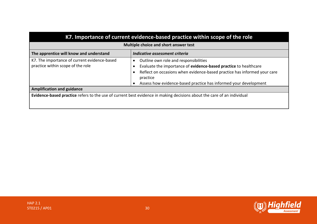| K7. Importance of current evidence-based practice within scope of the role                                             |                                                                                                                                                                                                                                                                       |  |
|------------------------------------------------------------------------------------------------------------------------|-----------------------------------------------------------------------------------------------------------------------------------------------------------------------------------------------------------------------------------------------------------------------|--|
| Multiple choice and short answer test                                                                                  |                                                                                                                                                                                                                                                                       |  |
| The apprentice will know and understand<br>Indicative assessment criteria                                              |                                                                                                                                                                                                                                                                       |  |
| K7. The importance of current evidence-based<br>practice within scope of the role                                      | Outline own role and responsibilities<br>Evaluate the importance of evidence-based practice to healthcare<br>Reflect on occasions when evidence-based practice has informed your care<br>practice<br>Assess how evidence-based practice has informed your development |  |
| <b>Amplification and guidance</b>                                                                                      |                                                                                                                                                                                                                                                                       |  |
| Evidence-based practice refers to the use of current best evidence in making decisions about the care of an individual |                                                                                                                                                                                                                                                                       |  |

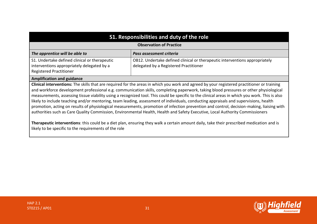| S1. Responsibilities and duty of the role                                                                                                                                                                                                                                                                                                                                                                                                                                                                                                                                                                                                                                                                                                                                                                                                                    |                                                                                                                       |  |
|--------------------------------------------------------------------------------------------------------------------------------------------------------------------------------------------------------------------------------------------------------------------------------------------------------------------------------------------------------------------------------------------------------------------------------------------------------------------------------------------------------------------------------------------------------------------------------------------------------------------------------------------------------------------------------------------------------------------------------------------------------------------------------------------------------------------------------------------------------------|-----------------------------------------------------------------------------------------------------------------------|--|
| <b>Observation of Practice</b>                                                                                                                                                                                                                                                                                                                                                                                                                                                                                                                                                                                                                                                                                                                                                                                                                               |                                                                                                                       |  |
| The apprentice will be able to                                                                                                                                                                                                                                                                                                                                                                                                                                                                                                                                                                                                                                                                                                                                                                                                                               | Pass assessment criteria                                                                                              |  |
| S1. Undertake defined clinical or therapeutic<br>interventions appropriately delegated by a<br><b>Registered Practitioner</b>                                                                                                                                                                                                                                                                                                                                                                                                                                                                                                                                                                                                                                                                                                                                | OB12. Undertake defined clinical or therapeutic interventions appropriately<br>delegated by a Registered Practitioner |  |
| <b>Amplification and guidance</b>                                                                                                                                                                                                                                                                                                                                                                                                                                                                                                                                                                                                                                                                                                                                                                                                                            |                                                                                                                       |  |
| Clinical interventions: The skills that are required for the areas in which you work and agreed by your registered practitioner or training<br>and workforce development professional e.g. communication skills, completing paperwork, taking blood pressures or other physiological<br>measurements, assessing tissue viability using a recognized tool. This could be specific to the clinical areas in which you work. This is also<br>likely to include teaching and/or mentoring, team leading, assessment of individuals, conducting appraisals and supervisions, health<br>promotion, acting on results of physiological measurements, promotion of infection prevention and control, decision-making, liaising with<br>authorities such as Care Quality Commission, Environmental Health, Health and Safety Executive, Local Authority Commissioners |                                                                                                                       |  |

**Therapeutic interventions**: this could be a diet plan, ensuring they walk a certain amount daily, take their prescribed medication and is likely to be specific to the requirements of the role

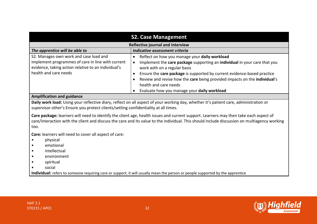| <b>S2. Case Management</b>                                                                                                                                                  |                                                                                                                                                                                                                                                                                                                                                                                            |
|-----------------------------------------------------------------------------------------------------------------------------------------------------------------------------|--------------------------------------------------------------------------------------------------------------------------------------------------------------------------------------------------------------------------------------------------------------------------------------------------------------------------------------------------------------------------------------------|
| Reflective journal and interview                                                                                                                                            |                                                                                                                                                                                                                                                                                                                                                                                            |
| The apprentice will be able to                                                                                                                                              | Indicative assessment criteria                                                                                                                                                                                                                                                                                                                                                             |
| S2. Manages own work and case load and<br>implement programmes of care in line with current<br>evidence, taking action relative to an individual's<br>health and care needs | Reflect on how you manage your daily workload<br>Implement the care package supporting an individual in your care that you<br>work with on a regular basis<br>Ensure the care package is supported by current evidence-based practice<br>Review and revise how the care being provided impacts on the individual's<br>health and care needs<br>Evaluate how you manage your daily workload |
| <b>Amplification and guidance</b>                                                                                                                                           |                                                                                                                                                                                                                                                                                                                                                                                            |
|                                                                                                                                                                             |                                                                                                                                                                                                                                                                                                                                                                                            |

**Daily work load:** Using your reflective diary, reflect on all aspect of your working day, whether it's patient care, administration or supervisor other's Ensure you protect clients/setting confidentiality at all times.

**Care package:** learners will need to identify the client age, health issues and current support. Learners may then take each aspect of care/interaction with the client and discuss the care and its value to the individual. This should include discussion on multiagency working too.

**Care:** learners will need to cover all aspect of care:

- physical
- emotional
- intellectual
- environment
- spiritual
- social

**Individual:** refers to someone requiring care or support; it will usually mean the person or people supported by the apprentice

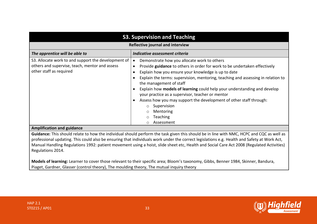| <b>S3. Supervision and Teaching</b>                                                                                              |                                                                                                                                                                                                                                                                                                                                                                                                                                                                                                                                                                                |
|----------------------------------------------------------------------------------------------------------------------------------|--------------------------------------------------------------------------------------------------------------------------------------------------------------------------------------------------------------------------------------------------------------------------------------------------------------------------------------------------------------------------------------------------------------------------------------------------------------------------------------------------------------------------------------------------------------------------------|
| Reflective journal and interview                                                                                                 |                                                                                                                                                                                                                                                                                                                                                                                                                                                                                                                                                                                |
| The apprentice will be able to                                                                                                   | Indicative assessment criteria                                                                                                                                                                                                                                                                                                                                                                                                                                                                                                                                                 |
| S3. Allocate work to and support the development of<br>others and supervise, teach, mentor and assess<br>other staff as required | Demonstrate how you allocate work to others<br>$\bullet$<br>Provide guidance to others in order for work to be undertaken effectively<br>Explain how you ensure your knowledge is up to date<br>Explain the terms: supervision, mentoring, teaching and assessing in relation to<br>the management of staff<br>Explain how models of learning could help your understanding and develop<br>your practice as a supervisor, teacher or mentor<br>Assess how you may support the development of other staff through:<br>Supervision<br>Mentoring<br><b>Teaching</b><br>Assessment |

#### **Amplification and guidance**

**Guidance:** This should relate to how the individual should perform the task given this should be in line with NMC, HCPC and CQC as well as professional updating. This could also be ensuring that individuals work under the correct legislations e.g. Health and Safety at Work Act, Manual Handling Regulations 1992: patient movement using a hoist, slide sheet etc, Health and Social Care Act 2008 (Regulated Activities) Regulations 2014.

**Models of learning:** Learner to cover those relevant to their specific area; Bloom's taxonomy, Gibbs, Benner 1984, Skinner, Bandura, Piaget, Gardner, Glasser (control theory), The moulding theory, The mutual inquiry theory

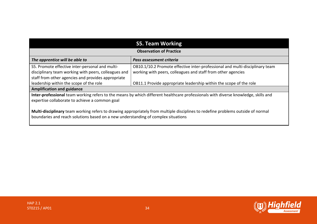| <b>S5. Team Working</b>                                                                                                                                                                                               |                                                                              |  |
|-----------------------------------------------------------------------------------------------------------------------------------------------------------------------------------------------------------------------|------------------------------------------------------------------------------|--|
| <b>Observation of Practice</b>                                                                                                                                                                                        |                                                                              |  |
| The apprentice will be able to                                                                                                                                                                                        | Pass assessment criteria                                                     |  |
| S5. Promote effective inter-personal and multi-                                                                                                                                                                       | OB10.1/10.2 Promote effective inter-professional and multi-disciplinary team |  |
| disciplinary team working with peers, colleagues and                                                                                                                                                                  | working with peers, colleagues and staff from other agencies                 |  |
| staff from other agencies and provides appropriate                                                                                                                                                                    |                                                                              |  |
| leadership within the scope of the role                                                                                                                                                                               | OB11.1 Provide appropriate leadership within the scope of the role           |  |
| <b>Amplification and guidance</b>                                                                                                                                                                                     |                                                                              |  |
| Inter-professional team working refers to the means by which different healthcare professionals with diverse knowledge, skills and<br>expertise collaborate to achieve a common goal                                  |                                                                              |  |
| Multi-disciplinary team working refers to drawing appropriately from multiple disciplines to redefine problems outside of normal<br>boundaries and reach solutions based on a new understanding of complex situations |                                                                              |  |

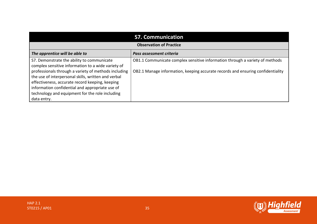| <b>S7. Communication</b>                                                                                                                                                                                                                                             |                                                                                 |  |
|----------------------------------------------------------------------------------------------------------------------------------------------------------------------------------------------------------------------------------------------------------------------|---------------------------------------------------------------------------------|--|
| <b>Observation of Practice</b>                                                                                                                                                                                                                                       |                                                                                 |  |
| The apprentice will be able to                                                                                                                                                                                                                                       | Pass assessment criteria                                                        |  |
| S7. Demonstrate the ability to communicate<br>complex sensitive information to a wide variety of                                                                                                                                                                     | OB1.1 Communicate complex sensitive information through a variety of methods    |  |
| professionals through a variety of methods including<br>the use of interpersonal skills, written and verbal<br>effectiveness, accurate record keeping, keeping<br>information confidential and appropriate use of<br>technology and equipment for the role including | OB2.1 Manage information, keeping accurate records and ensuring confidentiality |  |
| data entry.                                                                                                                                                                                                                                                          |                                                                                 |  |



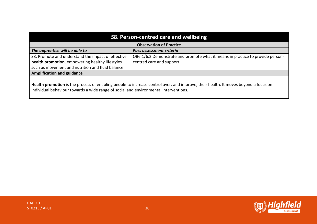| S8. Person-centred care and wellbeing                                                                                                                                                                                      |                                                                                |  |
|----------------------------------------------------------------------------------------------------------------------------------------------------------------------------------------------------------------------------|--------------------------------------------------------------------------------|--|
| <b>Observation of Practice</b>                                                                                                                                                                                             |                                                                                |  |
| The apprentice will be able to                                                                                                                                                                                             | Pass assessment criteria                                                       |  |
| S8. Promote and understand the impact of effective                                                                                                                                                                         | OB6.1/6.2 Demonstrate and promote what it means in practice to provide person- |  |
| health promotion, empowering healthy lifestyles                                                                                                                                                                            | centred care and support                                                       |  |
| such as movement and nutrition and fluid balance                                                                                                                                                                           |                                                                                |  |
| <b>Amplification and guidance</b>                                                                                                                                                                                          |                                                                                |  |
|                                                                                                                                                                                                                            |                                                                                |  |
| Health promotion is the process of enabling people to increase control over, and improve, their health. It moves beyond a focus on<br>individual behaviour towards a wide range of social and environmental interventions. |                                                                                |  |



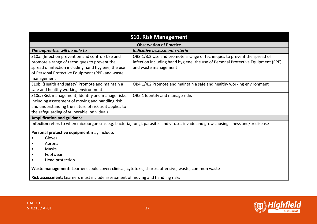| <b>S10. Risk Management</b>                                                                                                        |                                                                                  |  |
|------------------------------------------------------------------------------------------------------------------------------------|----------------------------------------------------------------------------------|--|
| <b>Observation of Practice</b>                                                                                                     |                                                                                  |  |
| The apprentice will be able to                                                                                                     | Indicative assessment criteria                                                   |  |
| S10a. (Infection prevention and control) Use and                                                                                   | OB3.1/3.2 Use and promote a range of techniques to prevent the spread of         |  |
| promote a range of techniques to prevent the                                                                                       | infection including hand hygiene, the use of Personal Protective Equipment (PPE) |  |
| spread of infection including hand hygiene, the use                                                                                | and waste management                                                             |  |
| of Personal Protective Equipment (PPE) and waste                                                                                   |                                                                                  |  |
| management                                                                                                                         |                                                                                  |  |
| S10b. (Health and safety) Promote and maintain a                                                                                   | OB4.1/4.2 Promote and maintain a safe and healthy working environment            |  |
| safe and healthy working environment                                                                                               |                                                                                  |  |
| S10c. (Risk management) Identify and manage risks,                                                                                 | OB5.1 Identify and manage risks                                                  |  |
| including assessment of moving and handling risk                                                                                   |                                                                                  |  |
| and understanding the nature of risk as it applies to                                                                              |                                                                                  |  |
| the safeguarding of vulnerable individuals.                                                                                        |                                                                                  |  |
| <b>Amplification and guidance</b>                                                                                                  |                                                                                  |  |
| Infection refers to when microorganisms e.g. bacteria, fungi, parasites and viruses invade and grow causing illness and/or disease |                                                                                  |  |
| Personal protective equipment may include:                                                                                         |                                                                                  |  |
| Gloves                                                                                                                             |                                                                                  |  |
| Aprons<br>$\bullet$                                                                                                                |                                                                                  |  |
| Masks                                                                                                                              |                                                                                  |  |
| Footwear<br>٠                                                                                                                      |                                                                                  |  |
| Head protection                                                                                                                    |                                                                                  |  |
| Waste management: Learners could cover; clinical, cytotoxic, sharps, offensive, waste, common waste                                |                                                                                  |  |
| Risk assessment: Learners must include assessment of moving and handling risks                                                     |                                                                                  |  |

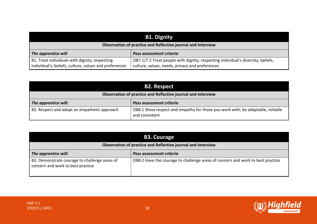| <b>B1. Dignity</b>                                                                                       |                                                                                                                                     |  |
|----------------------------------------------------------------------------------------------------------|-------------------------------------------------------------------------------------------------------------------------------------|--|
| Observation of practice and Reflective journal and Interview                                             |                                                                                                                                     |  |
| The apprentice will:                                                                                     | Pass assessment criteria                                                                                                            |  |
| B1. Treat individuals with dignity, respecting<br>individual's, beliefs, culture, values and preferences | OB7.1/7.2 Treat people with dignity, respecting individual's diversity, beliefs,<br>culture, values, needs, privacy and preferences |  |

| <b>B2. Respect</b>                                           |                                                                                                  |
|--------------------------------------------------------------|--------------------------------------------------------------------------------------------------|
| Observation of practice and Reflective journal and Interview |                                                                                                  |
| The apprentice will:                                         | Pass assessment criteria                                                                         |
| B2. Respect and adopt an empathetic approach                 | OB8.1 Show respect and empathy for those you work with; be adaptable, reliable<br>and consistent |

| <b>B3. Courage</b>                                                                 |                                                                                |
|------------------------------------------------------------------------------------|--------------------------------------------------------------------------------|
| Observation of practice and Reflective journal and Interview                       |                                                                                |
| The apprentice will:                                                               | Pass assessment criteria                                                       |
| B3. Demonstrate courage to challenge areas of<br>concern and work to best practice | OB8.2 Have the courage to challenge areas of concern and work to best practice |

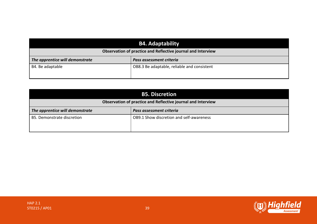| <b>B4. Adaptability</b><br>Observation of practice and Reflective journal and Interview |                                             |
|-----------------------------------------------------------------------------------------|---------------------------------------------|
| The apprentice will demonstrate                                                         | Pass assessment criteria                    |
| B4. Be adaptable                                                                        | OB8.3 Be adaptable, reliable and consistent |

| <b>B5. Discretion</b>                                        |                                          |
|--------------------------------------------------------------|------------------------------------------|
| Observation of practice and Reflective journal and Interview |                                          |
| The apprentice will demonstrate                              | Pass assessment criteria                 |
| B5. Demonstrate discretion                                   | OB9.1 Show discretion and self-awareness |

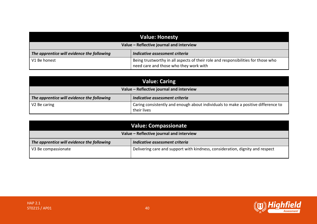| <b>Value: Honesty</b>                      |                                                                                                                             |
|--------------------------------------------|-----------------------------------------------------------------------------------------------------------------------------|
| Value - Reflective journal and interview   |                                                                                                                             |
| The apprentice will evidence the following | Indicative assessment criteria                                                                                              |
| V1 Be honest                               | Being trustworthy in all aspects of their role and responsibilities for those who<br>need care and those who they work with |

| Value: Caring                              |                                                                                                  |
|--------------------------------------------|--------------------------------------------------------------------------------------------------|
| Value - Reflective journal and interview   |                                                                                                  |
| The apprentice will evidence the following | Indicative assessment criteria                                                                   |
| V <sub>2</sub> Be caring                   | Caring consistently and enough about individuals to make a positive difference to<br>their lives |

| <b>Value: Compassionate</b>                |                                                                               |
|--------------------------------------------|-------------------------------------------------------------------------------|
| Value - Reflective journal and interview   |                                                                               |
| The apprentice will evidence the following | Indicative assessment criteria                                                |
| V3 Be compassionate                        | Delivering care and support with kindness, consideration, dignity and respect |

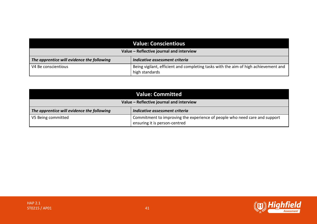| <b>Value: Conscientious</b>                |                                                                                                       |
|--------------------------------------------|-------------------------------------------------------------------------------------------------------|
| Value - Reflective journal and interview   |                                                                                                       |
| The apprentice will evidence the following | Indicative assessment criteria                                                                        |
| V4 Be conscientious                        | Being vigilant, efficient and completing tasks with the aim of high achievement and<br>high standards |

| <b>Value: Committed</b>                    |                                                                                                             |
|--------------------------------------------|-------------------------------------------------------------------------------------------------------------|
| Value - Reflective journal and interview   |                                                                                                             |
| The apprentice will evidence the following | Indicative assessment criteria                                                                              |
| V5 Being committed                         | Commitment to improving the experience of people who need care and support<br>ensuring it is person-centred |

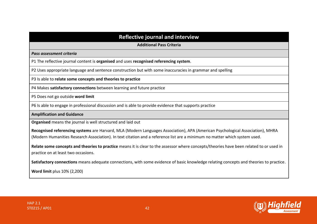## **Reflective journal and interview**

**Additional Pass Criteria**

*Pass assessment criteria*

P1 The reflective journal content is **organised** and uses **recognised referencing system**.

P2 Uses appropriate language and sentence construction but with some inaccuracies in grammar and spelling

P3 Is able to **relate some concepts and theories to practice**

P4 Makes **satisfactory connections** between learning and future practice

P5 Does not go outside **word limit**

P6 Is able to engage in professional discussion and is able to provide evidence that supports practice

**Amplification and Guidance** 

**Organised** means the journal is well structured and laid out

**Recognised referencing systems** are Harvard, MLA (Modern Languages Association), APA (American Psychological Association), MHRA (Modern Humanities Research Association). In text citation and a reference list are a minimum no matter which system used.

**Relate some concepts and theories to practice** means it is clear to the assessor where concepts/theories have been related to or used in practice on at least two occasions.

**Satisfactory connections** means adequate connections, with some evidence of basic knowledge relating concepts and theories to practice.

**Word limit** plus 10% (2,200)

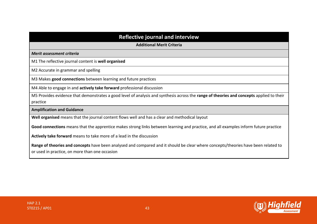**Additional Merit Criteria**

*Merit assessment criteria*

M1 The reflective journal content is **well organised**

M2 Accurate in grammar and spelling

M3 Makes **good connections** between learning and future practices

M4 Able to engage in and **actively take forward** professional discussion

M5 Provides evidence that demonstrates a good level of analysis and synthesis across the **range of theories and concepts** applied to their practice

**Amplification and Guidance** 

**Well organised** means that the journal content flows well and has a clear and methodical layout

**Good connections** means that the apprentice makes strong links between learning and practice, and all examples inform future practice

**Actively take forward** means to take more of a lead in the discussion

**Range of theories and concepts** have been analysed and compared and it should be clear where concepts/theories have been related to or used in practice, on more than one occasion

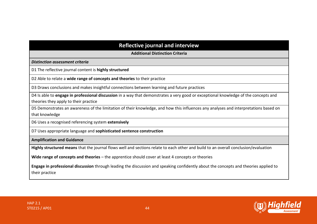## **Reflective journal and interview**

**Additional Distinction Criteria**

*Distinction assessment criteria*

D1 The reflective journal content is **highly structured**

D2 Able to relate a **wide range of concepts and theories** to their practice

D3 Draws conclusions and makes insightful connections between learning and future practices

D4 Is able to **engage in professional discussion** in a way that demonstrates a very good or exceptional knowledge of the concepts and theories they apply to their practice

D5 Demonstrates an awareness of the limitation of their knowledge, and how this influences any analyses and interpretations based on that knowledge

D6 Uses a recognised referencing system **extensively**

D7 Uses appropriate language and **sophisticated sentence construction**

**Amplification and Guidance** 

**Highly structured means** that the journal flows well and sections relate to each other and build to an overall conclusion/evaluation

**Wide range of concepts and theories** – the apprentice should cover at least 4 concepts or theories

**Engage in professional discussion** through leading the discussion and speaking confidently about the concepts and theories applied to their practice

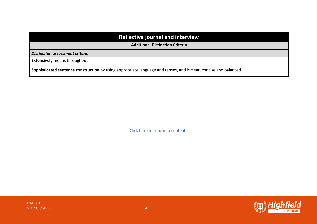## **Reflective journal and interview**

**Additional Distinction Criteria**

*Distinction assessment criteria*

**Extensively** means throughout

**Sophisticated sentence construction** by using appropriate language and tenses, and is clear, concise and balanced.

Click here to return to contents

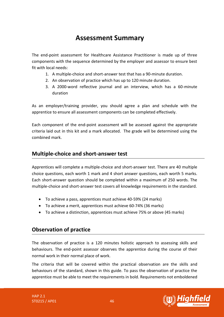# **Assessment Summary**

<span id="page-45-0"></span>The end-point assessment for Healthcare Assistance Practitioner is made up of three components with the sequence determined by the employer and assessor to ensure best fit with local needs:

- 1. A multiple-choice and short-answer test that has a 90-minute duration.
- 2. An observation of practice which has up to 120 minute duration.
- 3. A 2000-word reflective journal and an interview, which has a 60-minute duration

As an employer/training provider, you should agree a plan and schedule with the apprentice to ensure all assessment components can be completed effectively.

Each component of the end-point assessment will be assessed against the appropriate criteria laid out in this kit and a mark allocated. The grade will be determined using the combined mark.

## **Multiple-choice and short-answer test**

Apprentices will complete a multiple-choice and short-answer test. There are 40 multiple choice questions, each worth 1 mark and 4 short answer questions, each worth 5 marks. Each short-answer question should be completed within a maximum of 250 words. The multiple-choice and short-answer test covers all knowledge requirements in the standard.

- To achieve a pass, apprentices must achieve 40-59% (24 marks)
- To achieve a merit, apprentices must achieve 60-74% (36 marks)
- To achieve a distinction, apprentices must achieve 75% or above (45 marks)

## **Observation of practice**

The observation of practice is a 120 minutes holistic approach to assessing skills and behaviours. The end-point assessor observes the apprentice during the course of their normal work in their normal place of work.

The criteria that will be covered within the practical observation are the skills and behaviours of the standard, shown in this guide. To pass the observation of practice the apprentice must be able to meet the requirements in bold. Requirements not emboldened

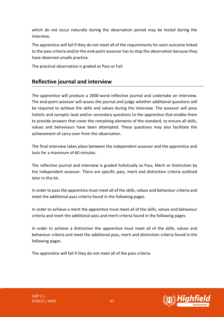which do not occur naturally during the observation period may be tested during the interview.

The apprentice will fail if they do not meet all of the requirements for each outcome linked to the pass criteria and/or the end-point assessor has to stop the observation because they have observed unsafe practice.

The practical observation is graded as Pass or Fail.

## **Reflective journal and interview**

The apprentice will produce a 2000-word reflective journal and undertake an interview. The end-point assessor will assess the journal and judge whether additional questions will be required to achieve the skills and values during the interview. The assessor will pose holistic and synoptic lead and/or secondary questions to the apprentice that enable them to provide answers that cover the remaining elements of the standard, to ensure all skills, values and behaviours have been attempted. These questions may also facilitate the achievement of carry-over from the observation.

The final interview takes place between the independent assessor and the apprentice and lasts for a maximum of 60 minutes.

The reflective journal and interview is graded holistically as Pass, Merit or Distinction by the independent assessor. There are specific pass, merit and distinction criteria outlined later in this kit.

In order to pass the apprentice must meet all of the skills, values and behaviour criteria and meet the additional pass criteria found in the following pages.

In order to achieve a merit the apprentice must meet all of the skills, values and behaviour criteria and meet the additional pass and merit criteria found in the following pages.

In order to achieve a distinction the apprentice must meet all of the skills, values and behaviour criteria and meet the additional pass, merit and distinction criteria found in the following pages.

The apprentice will fail if they do not meet all of the pass criteria.



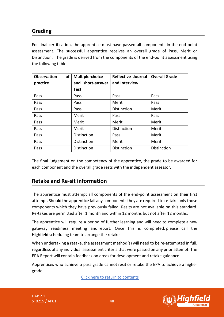## **Grading**

For final certification, the apprentice must have passed all components in the end-point assessment. The successful apprentice receives an overall grade of Pass, Merit or Distinction. The grade is derived from the components of the end-point assessment using the following table:

| of<br><b>Observation</b><br>practice | <b>Multiple-choice</b><br>and short-answer | <b>Reflective Journal</b><br>and Interview | <b>Overall Grade</b> |
|--------------------------------------|--------------------------------------------|--------------------------------------------|----------------------|
|                                      | <b>Test</b>                                |                                            |                      |
| Pass                                 | Pass                                       | Pass                                       | Pass                 |
| Pass                                 | Pass                                       | Merit                                      | Pass                 |
| Pass                                 | Pass                                       | Distinction                                | Merit                |
| Pass                                 | Merit                                      | Pass                                       | Pass                 |
| Pass                                 | Merit                                      | Merit                                      | Merit                |
| Pass                                 | Merit                                      | Distinction                                | Merit                |
| Pass                                 | Distinction                                | Pass                                       | Merit                |
| Pass                                 | Distinction                                | Merit                                      | Merit                |
| Pass                                 | Distinction                                | Distinction                                | <b>Distinction</b>   |

The final judgement on the competency of the apprentice, the grade to be awarded for each component and the overall grade rests with the independent assessor.

## **Retake and Re-sit information**

The apprentice must attempt all components of the end-point assessment on their first attempt. Should the apprentice fail any components they are required to re-take only those components which they have previously failed. Resits are not available on this standard. Re-takes are permitted after 1 month and within 12 months but not after 12 months.

The apprentice will require a period of further learning and will need to complete a new gateway readiness meeting and report. Once this is completed, please call the Highfield scheduling team to arrange the retake.

When undertaking a retake, the assessment method(s) will need to be re-attempted in full, regardless of any individual assessment criteria that were passed on any prior attempt. The EPA Report will contain feedback on areas for development and retake guidance.

Apprentices who achieve a pass grade cannot resit or retake the EPA to achieve a higher grade.

Click here to return to contents

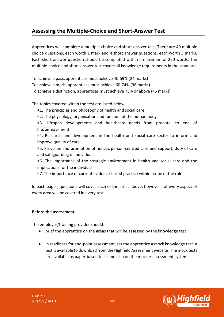## <span id="page-48-0"></span>**Assessing the Multiple-Choice and Short-Answer Test**

Apprentices will complete a multiple-choice and short-answer test. There are 40 multiple choice questions, each worth 1 mark and 4 short answer questions, each worth 5 marks. Each short answer question should be completed within a maximum of 250 words. The multiple-choice and short-answer test covers all knowledge requirements in the standard.

To achieve a pass, apprentices must achieve 40-59% (24 marks)

To achieve a merit, apprentices must achieve 60-74% (36 marks)

To achieve a distinction, apprentices must achieve 75% or above (45 marks)

The topics covered within the test are listed below:

- K1. The principles and philosophy of health and social care
- K2. The physiology, organisation and function of the human body

K3. Lifespan developments and healthcare needs from prenatal to end of life/bereavement

K4. Research and development in the health and social care sector to inform and improve quality of care

K5. Provision and promotion of holistic person-centred care and support, duty of care and safeguarding of individuals

K6. The importance of the strategic environment in health and social care and the implications for the individual

K7. The importance of current evidence-based practice within scope of the role

In each paper, questions will cover each of the areas above, however not every aspect of every area will be covered in every test.

## **Before the assessment**

The employer/training provider should:

- brief the apprentice on the areas that will be assessed by the knowledge test.
- in readiness for end-point assessment, set the apprentice a mock knowledge test. a test is available to download from the Highfield Assessment website. The mock tests are available as paper-based tests and also on the mock e-assessment system.

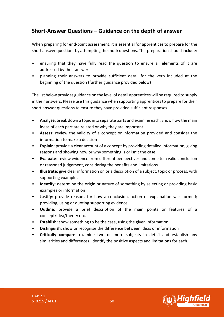## **Short-Answer Questions – Guidance on the depth of answer**

When preparing for end-point assessment, it is essential for apprentices to prepare for the short answer questions by attempting the mock questions. This preparation should include:

- ensuring that they have fully read the question to ensure all elements of it are addressed by their answer
- planning their answers to provide sufficient detail for the verb included at the beginning of the question (further guidance provided below)

The list below provides guidance on the level of detail apprentices will be required to supply in their answers. Please use this guidance when supporting apprentices to prepare for their short answer questions to ensure they have provided sufficient responses.

- **Analyse**: break down a topic into separate parts and examine each. Show how the main ideas of each part are related or why they are important
- **Assess**: review the validity of a concept or information provided and consider the information to make a decision
- **Explain**: provide a clear account of a concept by providing detailed information, giving reasons and showing how or why something is or isn't the case
- **Evaluate**: review evidence from different perspectives and come to a valid conclusion or reasoned judgement, considering the benefits and limitations
- **Illustrate**: give clear information on or a description of a subject, topic or process, with supporting examples
- **Identify**: determine the origin or nature of something by selecting or providing basic examples or information
- **Justify**: provide reasons for how a conclusion, action or explanation was formed; providing, using or quoting supporting evidence
- **Outline**: provide a brief description of the main points or features of a concept/idea/theory etc.
- **Establish:** show something to be the case, using the given information
- **Distinguish**: show or recognise the difference between ideas or information
- **Critically compare**: examine two or more subjects in detail and establish any similarities and differences. Identify the positive aspects and limitations for each.



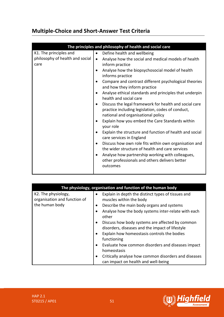## **Multiple-Choice and Short-Answer Test Criteria**

|                                                                   | The principles and philosophy of health and social care                                                                                                                                                                                                                                                                                                                                                                                                                                                                                                                                                                                                                                                                                                                                                                                                                                                                                                   |
|-------------------------------------------------------------------|-----------------------------------------------------------------------------------------------------------------------------------------------------------------------------------------------------------------------------------------------------------------------------------------------------------------------------------------------------------------------------------------------------------------------------------------------------------------------------------------------------------------------------------------------------------------------------------------------------------------------------------------------------------------------------------------------------------------------------------------------------------------------------------------------------------------------------------------------------------------------------------------------------------------------------------------------------------|
| K1. The principles and<br>philosophy of health and social<br>care | Define health and wellbeing<br>$\bullet$<br>Analyse how the social and medical models of health<br>$\bullet$<br>inform practice<br>Analyse how the biopsychosocial model of health<br>$\bullet$<br>informs practice<br>Compare and contrast different psychological theories<br>and how they inform practice<br>Analyse ethical standards and principles that underpin<br>health and social care<br>Discuss the legal framework for health and social care<br>٠<br>practice including legislation, codes of conduct,<br>national and organisational policy<br>Explain how you embed the Care Standards within<br>your role<br>Explain the structure and function of health and social<br>care services in England<br>Discuss how own role fits within own organisation and<br>٠<br>the wider structure of health and care services<br>Analyse how partnership working with colleagues,<br>٠<br>other professionals and others delivers better<br>outcomes |
|                                                                   |                                                                                                                                                                                                                                                                                                                                                                                                                                                                                                                                                                                                                                                                                                                                                                                                                                                                                                                                                           |

| The physiology, organisation and function of the human body           |                                                                                                                                                                                                                                                                                                                                                                                                                                                                                                                                                                                                    |
|-----------------------------------------------------------------------|----------------------------------------------------------------------------------------------------------------------------------------------------------------------------------------------------------------------------------------------------------------------------------------------------------------------------------------------------------------------------------------------------------------------------------------------------------------------------------------------------------------------------------------------------------------------------------------------------|
| K2. The physiology,<br>organisation and function of<br>the human body | Explain in depth the distinct types of tissues and<br>muscles within the body<br>Describe the main body organs and systems<br>$\bullet$<br>Analyse how the body systems inter-relate with each<br>$\bullet$<br>other<br>Discuss how body systems are affected by common<br>$\bullet$<br>disorders, diseases and the impact of lifestyle<br>Explain how homeostasis controls the bodies<br>$\bullet$<br>functioning<br>Evaluate how common disorders and diseases impact<br>homeostasis<br>Critically analyse how common disorders and diseases<br>$\bullet$<br>can impact on health and well-being |

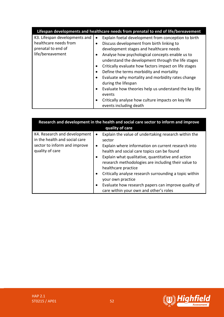|                               | Lifespan developments and healthcare needs from prenatal to end of life/bereavement |
|-------------------------------|-------------------------------------------------------------------------------------|
| K3. Lifespan developments and | Explain foetal development from conception to birth<br>$\bullet$                    |
| healthcare needs from         | Discuss development from birth linking to<br>$\bullet$                              |
| prenatal to end of            | development stages and healthcare needs                                             |
| life/bereavement              | Analyse how psychological concepts enable us to<br>$\bullet$                        |
|                               | understand the development through the life stages                                  |
|                               | Critically evaluate how factors impact on life stages<br>$\bullet$                  |
|                               | Define the terms morbidity and mortality<br>$\bullet$                               |
|                               | Evaluate why mortality and morbidity rates change<br>$\bullet$                      |
|                               | during the lifespan                                                                 |
|                               | Evaluate how theories help us understand the key life<br>$\bullet$                  |
|                               | events                                                                              |
|                               | Critically analyse how culture impacts on key life<br>$\bullet$                     |
|                               | events including death                                                              |

| Research and development in the health and social care sector to inform and improve<br>quality of care           |                                                                                                                                                                                                                                                                                                                                                                                                                                                                                                                                                        |  |
|------------------------------------------------------------------------------------------------------------------|--------------------------------------------------------------------------------------------------------------------------------------------------------------------------------------------------------------------------------------------------------------------------------------------------------------------------------------------------------------------------------------------------------------------------------------------------------------------------------------------------------------------------------------------------------|--|
| K4. Research and development<br>in the health and social care<br>sector to inform and improve<br>quality of care | Explain the value of undertaking research within the<br>$\bullet$<br>sector<br>Explain where information on current research into<br>$\bullet$<br>health and social care topics can be found<br>Explain what qualitative, quantitative and action<br>$\bullet$<br>research methodologies are including their value to<br>healthcare practice<br>Critically analyse research surrounding a topic within<br>$\bullet$<br>your own practice<br>Evaluate how research papers can improve quality of<br>$\bullet$<br>care within your own and other's roles |  |

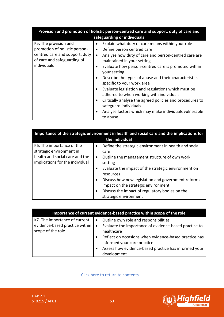| Provision and promotion of holistic person-centred care and support, duty of care and<br>safeguarding or individuals                   |                                                                                                                                                                                                                                                                                                                                                                                                                                                                                                                                                                                                                                                                                           |  |
|----------------------------------------------------------------------------------------------------------------------------------------|-------------------------------------------------------------------------------------------------------------------------------------------------------------------------------------------------------------------------------------------------------------------------------------------------------------------------------------------------------------------------------------------------------------------------------------------------------------------------------------------------------------------------------------------------------------------------------------------------------------------------------------------------------------------------------------------|--|
| K5. The provision and<br>promotion of holistic person-<br>centred care and support, duty<br>of care and safeguarding of<br>individuals | Explain what duty of care means within your role<br>Define person centred care<br>$\bullet$<br>Analyse how duty of care and person-centred care are<br>$\bullet$<br>maintained in your setting<br>Evaluate how person-centred care is promoted within<br>$\bullet$<br>your setting<br>Describe the types of abuse and their characteristics<br>$\bullet$<br>specific to your work area<br>Evaluate legislation and regulations which must be<br>$\bullet$<br>adhered to when working with individuals<br>Critically analyse the agreed policies and procedures to<br>$\bullet$<br>safeguard individuals<br>Analyse factors which may make individuals vulnerable<br>$\bullet$<br>to abuse |  |

| Importance of the strategic environment in health and social care and the implications for<br>the individual               |                                                                                                                                                                                                                                                                                                                                                                                                                                       |  |
|----------------------------------------------------------------------------------------------------------------------------|---------------------------------------------------------------------------------------------------------------------------------------------------------------------------------------------------------------------------------------------------------------------------------------------------------------------------------------------------------------------------------------------------------------------------------------|--|
| K6. The importance of the<br>strategic environment in<br>health and social care and the<br>implications for the individual | Define the strategic environment in health and social<br>$\bullet$<br>care<br>Outline the management structure of own work<br>$\bullet$<br>setting<br>Evaluate the impact of the strategic environment on<br>$\bullet$<br>resources<br>Discuss how new legislation and government reforms<br>$\bullet$<br>impact on the strategic environment<br>Discuss the impact of regulatory bodies on the<br>$\bullet$<br>strategic environment |  |

| Importance of current evidence-based practice within scope of the role               |                                                                                                                                                                                                                                                                                                       |  |
|--------------------------------------------------------------------------------------|-------------------------------------------------------------------------------------------------------------------------------------------------------------------------------------------------------------------------------------------------------------------------------------------------------|--|
| K7. The importance of current<br>evidence-based practice within<br>scope of the role | Outline own role and responsibilities<br>$\bullet$<br>Evaluate the importance of evidence-based practice to<br>$\bullet$<br>healthcare<br>Reflect on occasions when evidence-based practice has<br>informed your care practice<br>Assess how evidence-based practice has informed your<br>development |  |

Click here to return to contents

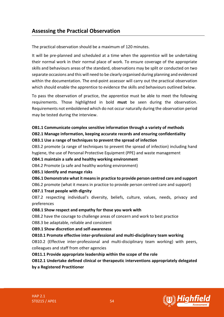## <span id="page-53-0"></span>**Assessing the Practical Observation**

The practical observation should be a maximum of 120 minutes.

It will be pre-planned and scheduled at a time when the apprentice will be undertaking their normal work in their normal place of work. To ensure coverage of the appropriate skills and behaviours areas of the standard, observations may be split or conducted on two separate occasions and this will need to be clearly organised during planning and evidenced within the documentation. The end-point assessor will carry out the practical observation which should enable the apprentice to evidence the skills and behaviours outlined below.

To pass the observation of practice, the apprentice must be able to meet the following requirements. Those highlighted in bold **must** be seen during the observation. Requirements not emboldened which do not occur naturally during the observation period may be tested during the interview.

#### **OB1.1 Communicate complex sensitive information through a variety of methods**

**OB2.1 Manage information, keeping accurate records and ensuring confidentiality**

#### **OB3.1 Use a range of techniques to prevent the spread of infection**

OB3.2 promote (a range of techniques to prevent the spread of infection) including hand hygiene, the use of Personal Protective Equipment (PPE) and waste management

#### **OB4.1 maintain a safe and healthy working environment**

OB4.2 Promote (a safe and healthy working environment)

#### **OB5.1 Identify and manage risks**

- **OB6.1 Demonstrate what it means in practice to provide person centred care and support**
- OB6.2 promote (what it means in practice to provide person centred care and support)

## **OB7.1 Treat people with dignity**

OB7.2 respecting individual's diversity, beliefs, culture, values, needs, privacy and preferences

#### **OB8.1 Show respect and empathy for those you work with**

OB8.2 have the courage to challenge areas of concern and work to best practice

OB8.3 be adaptable, reliable and consistent

## **OB9.1 Show discretion and self-awareness**

## **OB10.1 Promote effective inter-professional and multi-disciplinary team working**

OB10.2 (Effective inter-professional and multi-disciplinary team working) with peers, colleagues and staff from other agencies

## **OB11.1 Provide appropriate leadership within the scope of the role**

**OB12.1 Undertake defined clinical or therapeutic interventions appropriately delegated by a Registered Practitioner**

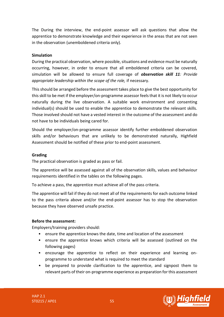The During the interview, the end-point assessor will ask questions that allow the apprentice to demonstrate knowledge and their experience in the areas that are not seen in the observation (unemboldened criteria only).

## **Simulation**

During the practical observation, where possible, situations and evidence must be naturally occurring, however, in order to ensure that all emboldened criteria can be covered, simulation will be allowed to ensure full coverage of *observation skill 11: Provide appropriate leadership within the scope of the role,* if necessary.

This should be arranged before the assessment takes place to give the best opportunity for this skill to be met if the employer/on-programme assessor feels that it is not likely to occur naturally during the live observation. A suitable work environment and consenting individual(s) should be used to enable the apprentice to demonstrate the relevant skills. Those involved should not have a vested interest in the outcome of the assessment and do not have to be individuals being cared for.

Should the employer/on-programme assessor identify further emboldened observation skills and/or behaviours that are unlikely to be demonstrated naturally, Highfield Assessment should be notified of these prior to end-point assessment.

#### **Grading**

The practical observation is graded as pass or fail.

The apprentice will be assessed against all of the observation skills, values and behaviour requirements identified in the tables on the following pages.

To achieve a pass, the apprentice must achieve all of the pass criteria.

The apprentice will fail if they do not meet all of the requirements for each outcome linked to the pass criteria above and/or the end-point assessor has to stop the observation because they have observed unsafe practice.

#### **Before the assessment:**

Employers/training providers should:

- ensure the apprentice knows the date, time and location of the assessment
- ensure the apprentice knows which criteria will be assessed (outlined on the following pages)
- encourage the apprentice to reflect on their experience and learning onprogramme to understand what is required to meet the standard
- be prepared to provide clarification to the apprentice, and signpost them to relevant parts of their on-programme experience as preparation for this assessment

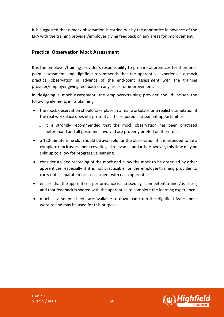It is suggested that a mock observation is carried out by the apprentice in advance of the EPA with the training provider/employer giving feedback on any areas for improvement.

## **Practical Observation Mock Assessment**

It is the employer/training provider's responsibility to prepare apprentices for their endpoint assessment, and Highfield recommends that the apprentice experiences a mock practical observation in advance of the end-point assessment with the training provider/employer giving feedback on any areas for improvement.

In designing a mock assessment, the employer/training provider should include the following elements in its planning:

- the mock observation should take place in a real workplace or a realistic simulation if the real workplace does not present all the required assessment opportunities:
	- o it is strongly recommended that the mock observation has been practised beforehand and all personnel involved are properly briefed on their roles
- a 120-minute time slot should be available for the observation if it is intended to be a complete mock assessment covering all relevant standards. However, this time may be split up to allow for progressive learning.
- consider a video recording of the mock and allow the mock to be observed by other apprentices, especially if it is not practicable for the employer/training provider to carry out a separate mock assessment with each apprentice.
- ensure that the apprentice's performance is assessed by a competent trainer/assessor, and that feedback is shared with the apprentice to complete the learning experience.
- mock assessment sheets are available to download from the Highfield Assessment website and may be used for this purpose.

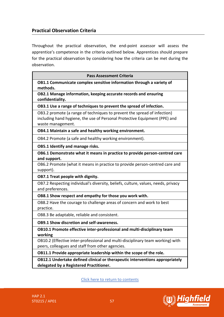## **Practical Observation Criteria**

Throughout the practical observation, the end-point assessor will assess the apprentice's competence in the criteria outlined below. Apprentices should prepare for the practical observation by considering how the criteria can be met during the observation.

| <b>Pass Assessment Criteria</b>                                                                                                                                             |  |
|-----------------------------------------------------------------------------------------------------------------------------------------------------------------------------|--|
| OB1.1 Communicate complex sensitive information through a variety of<br>methods.                                                                                            |  |
| OB2.1 Manage information, keeping accurate records and ensuring<br>confidentiality.                                                                                         |  |
| OB3.1 Use a range of techniques to prevent the spread of infection.                                                                                                         |  |
| OB3.2 promote (a range of techniques to prevent the spread of infection)<br>including hand hygiene, the use of Personal Protective Equipment (PPE) and<br>waste management. |  |
| OB4.1 Maintain a safe and healthy working environment.                                                                                                                      |  |
| OB4.2 Promote (a safe and healthy working environment).                                                                                                                     |  |
| OB5.1 Identify and manage risks.                                                                                                                                            |  |
| OB6.1 Demonstrate what it means in practice to provide person-centred care<br>and support.                                                                                  |  |
| OB6.2 Promote (what it means in practice to provide person-centred care and<br>support).                                                                                    |  |
| OB7.1 Treat people with dignity.                                                                                                                                            |  |
| OB7.2 Respecting individual's diversity, beliefs, culture, values, needs, privacy<br>and preferences.                                                                       |  |
| OB8.1 Show respect and empathy for those you work with.                                                                                                                     |  |
| OB8.2 Have the courage to challenge areas of concern and work to best<br>practice.                                                                                          |  |
| OB8.3 Be adaptable, reliable and consistent.                                                                                                                                |  |
| <b>OB9.1 Show discretion and self-awareness.</b>                                                                                                                            |  |
| OB10.1 Promote effective inter-professional and multi-disciplinary team<br>working                                                                                          |  |
| OB10.2 (Effective inter-professional and multi-disciplinary team working) with<br>peers, colleagues and staff from other agencies.                                          |  |
| OB11.1 Provide appropriate leadership within the scope of the role.                                                                                                         |  |
| OB12.1 Undertake defined clinical or therapeutic interventions appropriately<br>delegated by a Registered Practitioner.                                                     |  |

Click here to return to contents

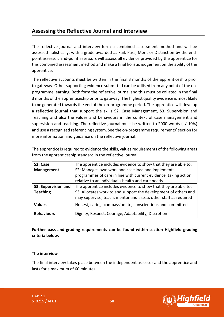## <span id="page-57-0"></span>**Assessing the Reflective Journal and Interview**

The reflective journal and interview form a combined assessment method and will be assessed holistically, with a grade awarded as Fail, Pass, Merit or Distinction by the endpoint assessor. End-point assessors will assess all evidence provided by the apprentice for this combined assessment method and make a final holistic judgement on the ability of the apprentice.

The reflective accounts **must** be written in the final 3 months of the apprenticeship prior to gateway. Other supporting evidence submitted can be utilised from any point of the onprogramme learning. Both form the reflective journal and this must be collated in the final 3 months of the apprenticeship prior to gateway. The highest quality evidence is most likely to be generated towards the end of the on-programme period. The apprentice will develop a reflective journal that support the skills S2. Case Management, S3. Supervision and Teaching and also the values and behaviours in the context of case management and supervision and teaching. The reflective journal must be written to 2000 words (+/-10%) and use a recognised referencing system. See the on-programme requirements' section for more information and guidance on the reflective journal.

| S2. Case            | The apprentice includes evidence to show that they are able to; |
|---------------------|-----------------------------------------------------------------|
| <b>Management</b>   | S2: Manages own work and case load and implements               |
|                     | programmes of care in line with current evidence, taking action |
|                     | relative to an individual's health and care needs               |
| S3. Supervision and | The apprentice includes evidence to show that they are able to; |
| <b>Teaching</b>     | S3. Allocates work to and support the development of others and |
|                     | may supervise, teach, mentor and assess other staff as required |
| <b>Values</b>       | Honest, caring, compassionate, conscientious and committed      |
| <b>Behaviours</b>   | Dignity, Respect, Courage, Adaptability, Discretion             |

The apprentice is required to evidence the skills, values requirements of the following areas from the apprenticeship standard in the reflective journal:

**Further pass and grading requirements can be found within section Highfield grading criteria below.**

## **The interview**

The final interview takes place between the independent assessor and the apprentice and lasts for a maximum of 60 minutes.



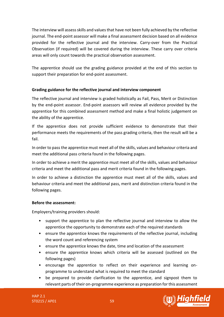The interview will assess skills and values that have not been fully achieved by the reflective journal. The end-point assessor will make a final assessment decision based on all evidence provided for the reflective journal and the interview. Carry-over from the Practical Observation (if required) will be covered during the interview. These carry over criteria areas will only count towards the practical observation assessment.

The apprentice should use the grading guidance provided at the end of this section to support their preparation for end-point assessment.

## **Grading guidance for the reflective journal and interview component**

The reflective journal and interview is graded holistically as Fail, Pass, Merit or Distinction by the end-point assessor. End-point assessors will review all evidence provided by the apprentice for this combined assessment method and make a final holistic judgement on the ability of the apprentice.

If the apprentice does not provide sufficient evidence to demonstrate that their performance meets the requirements of the pass grading criteria, then the result will be a fail.

In order to pass the apprentice must meet all of the skills, values and behaviour criteria and meet the additional pass criteria found in the following pages.

In order to achieve a merit the apprentice must meet all of the skills, values and behaviour criteria and meet the additional pass and merit criteria found in the following pages.

In order to achieve a distinction the apprentice must meet all of the skills, values and behaviour criteria and meet the additional pass, merit and distinction criteria found in the following pages.

## **Before the assessment:**

Employers/training providers should:

- support the apprentice to plan the reflective journal and interview to allow the apprentice the opportunity to demonstrate each of the required standards
- ensure the apprentice knows the requirements of the reflective journal, including the word count and referencing system
- ensure the apprentice knows the date, time and location of the assessment
- ensure the apprentice knows which criteria will be assessed (outlined on the following pages)
- encourage the apprentice to reflect on their experience and learning onprogramme to understand what is required to meet the standard
- be prepared to provide clarification to the apprentice, and signpost them to relevant parts of their on-programme experience as preparation for this assessment

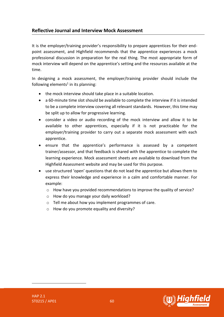## **Reflective Journal and Interview Mock Assessment**

It is the employer/training provider's responsibility to prepare apprentices for their endpoint assessment, and Highfield recommends that the apprentice experiences a mock professional discussion in preparation for the real thing. The most appropriate form of mock interview will depend on the apprentice's setting and the resources available at the time.

In designing a mock assessment, the employer/training provider should include the following elements<sup>1</sup> in its planning:

- the mock interview should take place in a suitable location.
- a 60-minute time slot should be available to complete the interview if it is intended to be a complete interview covering all relevant standards. However, this time may be split up to allow for progressive learning.
- consider a video or audio recording of the mock interview and allow it to be available to other apprentices, especially if it is not practicable for the employer/training provider to carry out a separate mock assessment with each apprentice.
- ensure that the apprentice's performance is assessed by a competent trainer/assessor, and that feedback is shared with the apprentice to complete the learning experience. Mock assessment sheets are available to download from the Highfield Assessment website and may be used for this purpose.
- use structured 'open' questions that do not lead the apprentice but allows them to express their knowledge and experience in a calm and comfortable manner. For example:
	- o How have you provided recommendations to improve the quality of service?
	- o How do you manage your daily workload?
	- o Tell me about how you implement programmes of care.
	- $\circ$  How do you promote equality and diversity?

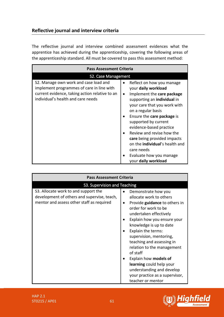## **Reflective journal and interview criteria**

The reflective journal and interview combined assessment evidences what the apprentice has achieved during the apprenticeship, covering the following areas of the apprenticeship standard. All must be covered to pass this assessment method:

| <b>Pass Assessment Criteria</b>                                                                                                                                            |                                                                                                                                                                                                                                                                                                                                                                                                                                                             |  |
|----------------------------------------------------------------------------------------------------------------------------------------------------------------------------|-------------------------------------------------------------------------------------------------------------------------------------------------------------------------------------------------------------------------------------------------------------------------------------------------------------------------------------------------------------------------------------------------------------------------------------------------------------|--|
| S2. Case Management                                                                                                                                                        |                                                                                                                                                                                                                                                                                                                                                                                                                                                             |  |
| S2. Manage own work and case load and<br>implement programmes of care in line with<br>current evidence, taking action relative to an<br>individual's health and care needs | Reflect on how you manage<br>$\bullet$<br>your daily workload<br>Implement the care package<br>$\bullet$<br>supporting an <b>individual</b> in<br>your care that you work with<br>on a regular basis<br>Ensure the care package is<br>supported by current<br>evidence-based practice<br>Review and revise how the<br>care being provided impacts<br>on the <b>individual</b> 's health and<br>care needs<br>Evaluate how you manage<br>your daily workload |  |

| <b>Pass Assessment Criteria</b>                                                                                                  |                                                                                                                                                                                                                                                                                                                                                                                                                                                                           |  |
|----------------------------------------------------------------------------------------------------------------------------------|---------------------------------------------------------------------------------------------------------------------------------------------------------------------------------------------------------------------------------------------------------------------------------------------------------------------------------------------------------------------------------------------------------------------------------------------------------------------------|--|
| S3. Supervision and Teaching                                                                                                     |                                                                                                                                                                                                                                                                                                                                                                                                                                                                           |  |
| S3. Allocate work to and support the<br>development of others and supervise, teach,<br>mentor and assess other staff as required | Demonstrate how you<br>allocate work to others<br>Provide guidance to others in<br>$\bullet$<br>order for work to be<br>undertaken effectively<br>Explain how you ensure your<br>knowledge is up to date<br>Explain the terms:<br>supervision, mentoring,<br>teaching and assessing in<br>relation to the management<br>of staff<br>Explain how models of<br>learning could help your<br>understanding and develop<br>your practice as a supervisor,<br>teacher or mentor |  |

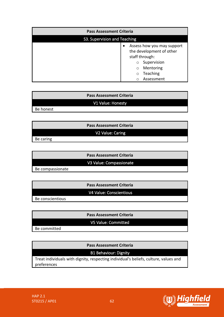| <b>Pass Assessment Criteria</b> |                                                                                                                                                                        |
|---------------------------------|------------------------------------------------------------------------------------------------------------------------------------------------------------------------|
| S3. Supervision and Teaching    |                                                                                                                                                                        |
|                                 | Assess how you may support<br>$\bullet$<br>the development of other<br>staff through:<br>Supervision<br>$\circ$<br>Mentoring<br>$\circ$<br>Teaching<br>O<br>Assessment |

## **Pass Assessment Criteria**

## V1 Value: Honesty

Be honest

| <b>Pass Assessment Criteria</b> |  |  |
|---------------------------------|--|--|
| V2 Value: Caring                |  |  |
| Be caring                       |  |  |

**Pass Assessment Criteria**

V3 Value: Compassionate

Be compassionate

**Pass Assessment Criteria** V4 Value: Conscientious

Be conscientious

**Pass Assessment Criteria**

V5 Value: Committed

Be committed

**Pass Assessment Criteria**

B1 Behaviour: Dignity

Treat individuals with dignity, respecting individual's beliefs, culture, values and preferences

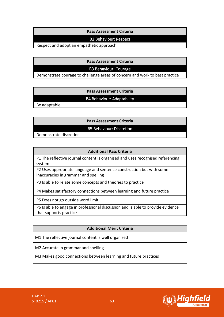## **Pass Assessment Criteria**

## B2 Behaviour: Respect

Respect and adopt an empathetic approach

**Pass Assessment Criteria**

## B3 Behaviour: Courage

Demonstrate courage to challenge areas of concern and work to best practice

**Pass Assessment Criteria**

## B4 Behaviour: Adaptability

Be adaptable

**Pass Assessment Criteria**

B5 Behaviour: Discretion

Demonstrate discretion

## **Additional Pass Criteria**

P1 The reflective journal content is organised and uses recognised referencing system

P2 Uses appropriate language and sentence construction but with some inaccuracies in grammar and spelling

P3 Is able to relate some concepts and theories to practice

P4 Makes satisfactory connections between learning and future practice

P5 Does not go outside word limit

P6 Is able to engage in professional discussion and is able to provide evidence that supports practice

## **Additional Merit Criteria**

M1 The reflective journal content is well organised

M2 Accurate in grammar and spelling

M3 Makes good connections between learning and future practices